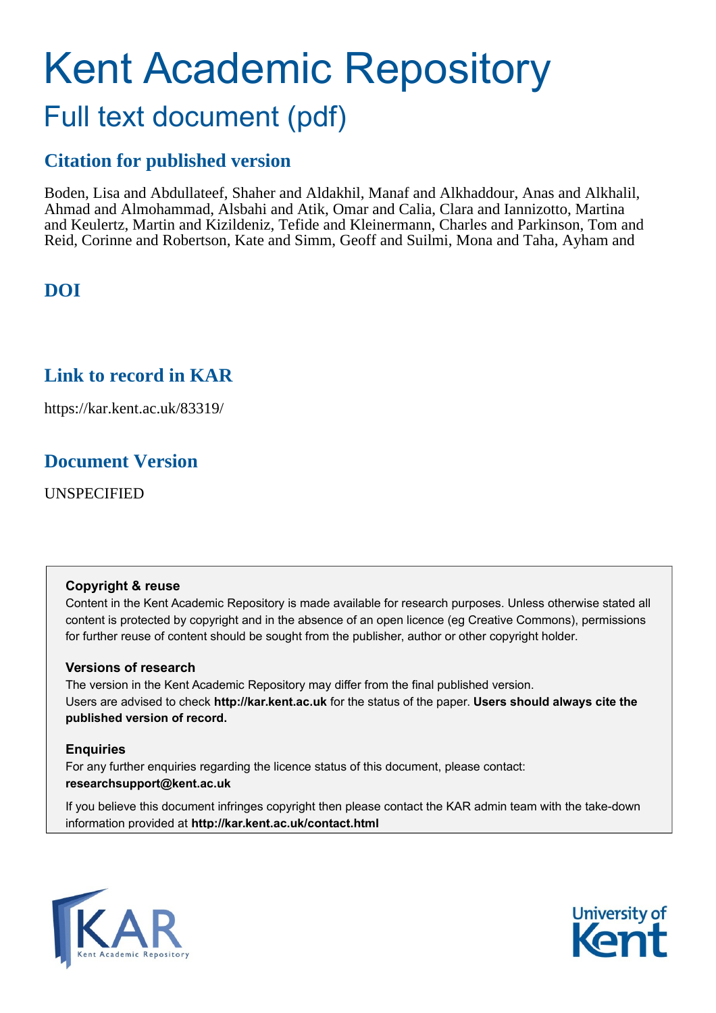# Kent Academic Repository Full text document (pdf)

### **Citation for published version**

Boden, Lisa and Abdullateef, Shaher and Aldakhil, Manaf and Alkhaddour, Anas and Alkhalil, Ahmad and Almohammad, Alsbahi and Atik, Omar and Calia, Clara and Iannizotto, Martina and Keulertz, Martin and Kizildeniz, Tefide and Kleinermann, Charles and Parkinson, Tom and Reid, Corinne and Robertson, Kate and Simm, Geoff and Suilmi, Mona and Taha, Ayham and

### **DOI**

### **Link to record in KAR**

https://kar.kent.ac.uk/83319/

### **Document Version**

UNSPECIFIED

#### **Copyright & reuse**

Content in the Kent Academic Repository is made available for research purposes. Unless otherwise stated all content is protected by copyright and in the absence of an open licence (eg Creative Commons), permissions for further reuse of content should be sought from the publisher, author or other copyright holder.

#### **Versions of research**

The version in the Kent Academic Repository may differ from the final published version. Users are advised to check **http://kar.kent.ac.uk** for the status of the paper. **Users should always cite the published version of record.**

#### **Enquiries**

For any further enquiries regarding the licence status of this document, please contact: **researchsupport@kent.ac.uk**

If you believe this document infringes copyright then please contact the KAR admin team with the take-down information provided at **http://kar.kent.ac.uk/contact.html**



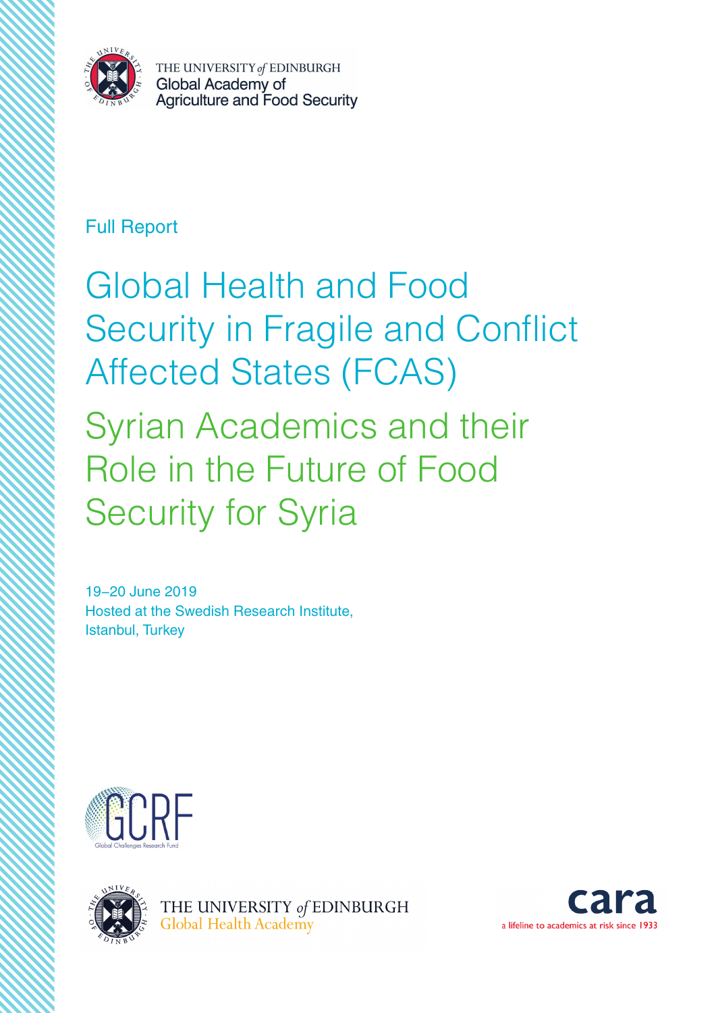

### Full Report

Global Health and Food Security in Fragile and Conflict Affected States (FCAS) Syrian Academics and their Role in the Future of Food Security for Syria

19−20 June 2019 Hosted at the Swedish Research Institute, Istanbul, Turkey





THE UNIVERSITY of EDINBURGH Global Health Academy

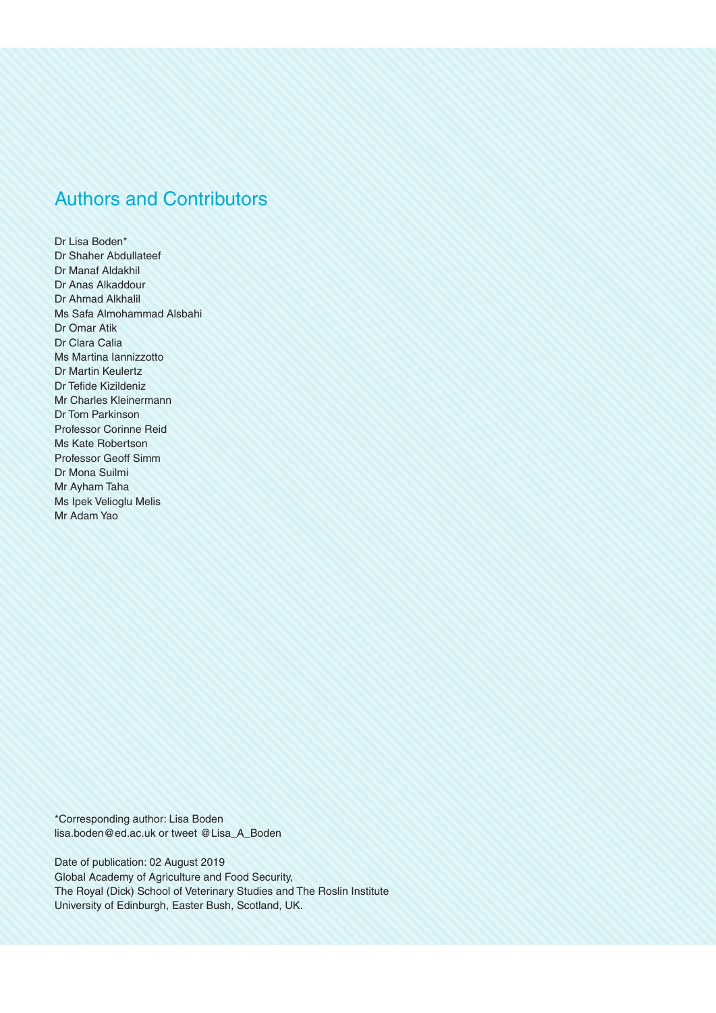### Authors and Contributors

Dr Lisa Boden\* Dr Shaher Abdullateef Dr Manaf Aldakhil Dr Anas Alkaddour Dr Ahmad Alkhalil Ms Safa Almohammad Alsbahi Dr Omar Atik Dr Clara Calia Ms Martina Iannizzotto Dr Martin Keulertz Dr Tefide Kizildeniz Mr Charles Kleinermann Dr Tom Parkinson Professor Corinne Reid Ms Kate Robertson Professor Geoff Simm Dr Mona Suilmi Mr Ayham Taha Ms Ipek Velioglu Melis Mr Adam Yao

\*Corresponding author: Lisa Boden lisa.boden@ed.ac.uk or tweet @Lisa\_A\_Boden

Date of publication: 02 August 2019 Global Academy of Agriculture and Food Security, The Royal (Dick) School of Veterinary Studies and The Roslin Institute University of Edinburgh, Easter Bush, Scotland, UK.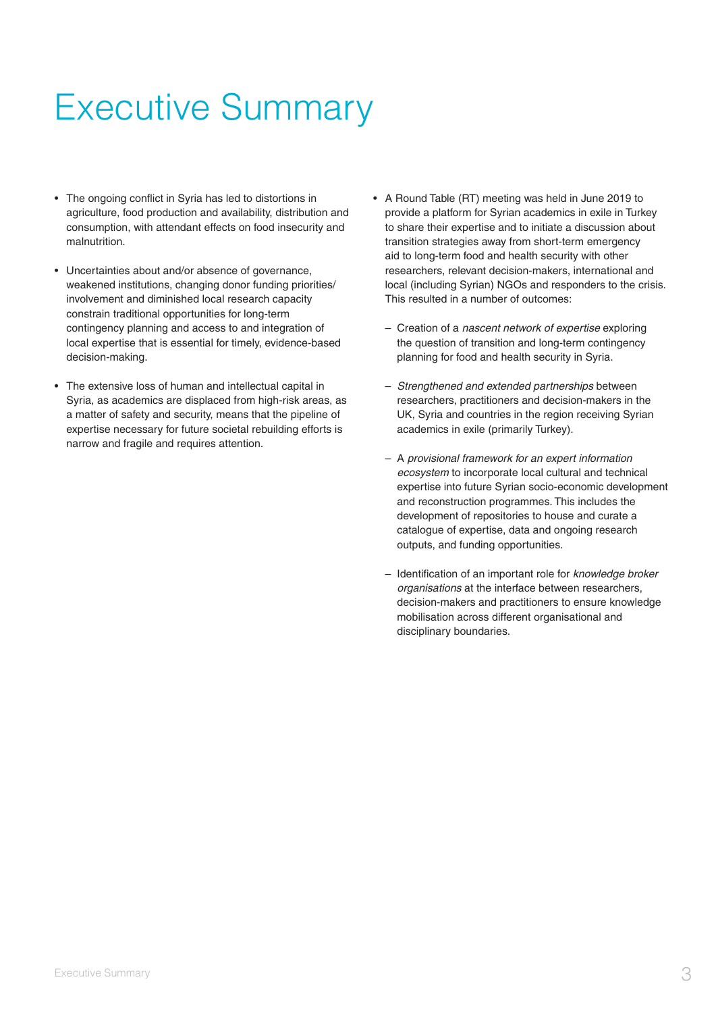# Executive Summary

- The ongoing conflict in Syria has led to distortions in agriculture, food production and availability, distribution and consumption, with attendant effects on food insecurity and malnutrition.
- Uncertainties about and/or absence of governance, weakened institutions, changing donor funding priorities/ involvement and diminished local research capacity constrain traditional opportunities for long-term contingency planning and access to and integration of local expertise that is essential for timely, evidence-based decision-making.
- The extensive loss of human and intellectual capital in Syria, as academics are displaced from high-risk areas, as a matter of safety and security, means that the pipeline of expertise necessary for future societal rebuilding efforts is narrow and fragile and requires attention.
- A Round Table (RT) meeting was held in June 2019 to provide a platform for Syrian academics in exile in Turkey to share their expertise and to initiate a discussion about transition strategies away from short-term emergency aid to long-term food and health security with other researchers, relevant decision-makers, international and local (including Syrian) NGOs and responders to the crisis. This resulted in a number of outcomes:
	- Creation of a nascent network of expertise exploring the question of transition and long-term contingency planning for food and health security in Syria.
	- Strengthened and extended partnerships between researchers, practitioners and decision-makers in the UK, Syria and countries in the region receiving Syrian academics in exile (primarily Turkey).
	- A provisional framework for an expert information ecosystem to incorporate local cultural and technical expertise into future Syrian socio-economic development and reconstruction programmes. This includes the development of repositories to house and curate a catalogue of expertise, data and ongoing research outputs, and funding opportunities.
	- Identification of an important role for knowledge broker organisations at the interface between researchers, decision-makers and practitioners to ensure knowledge mobilisation across different organisational and disciplinary boundaries.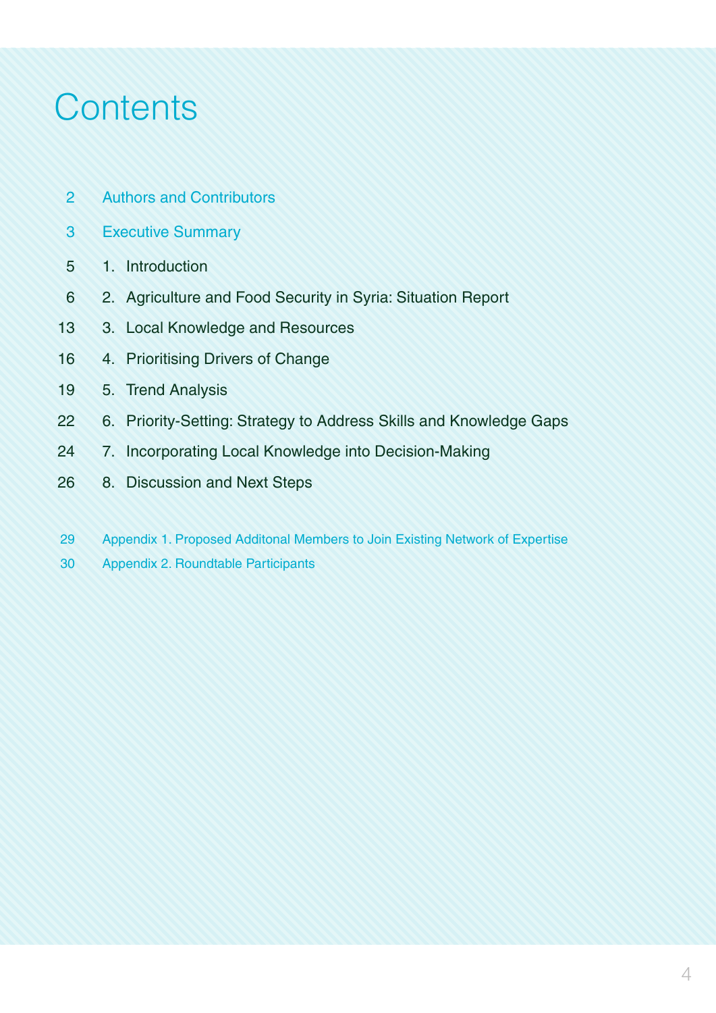# **Contents**

- Authors and Contributors 2
- Executive Summary 3
- 1. Introduction 5
- 2. Agriculture and Food Security in Syria: Situation Report 6
- 3. Local Knowledge and Resources 13
- 4. Prioritising Drivers of Change 16
- 5. Trend Analysis 19
- 6. Priority-Setting: Strategy to Address Skills and Knowledge Gaps 22
- 7. Incorporating Local Knowledge into Decision-Making 24
- 8. Discussion and Next Steps 26
- Appendix 1. Proposed Additonal Members to Join Existing Network of Expertise 29
- Appendix 2. Roundtable Participants 30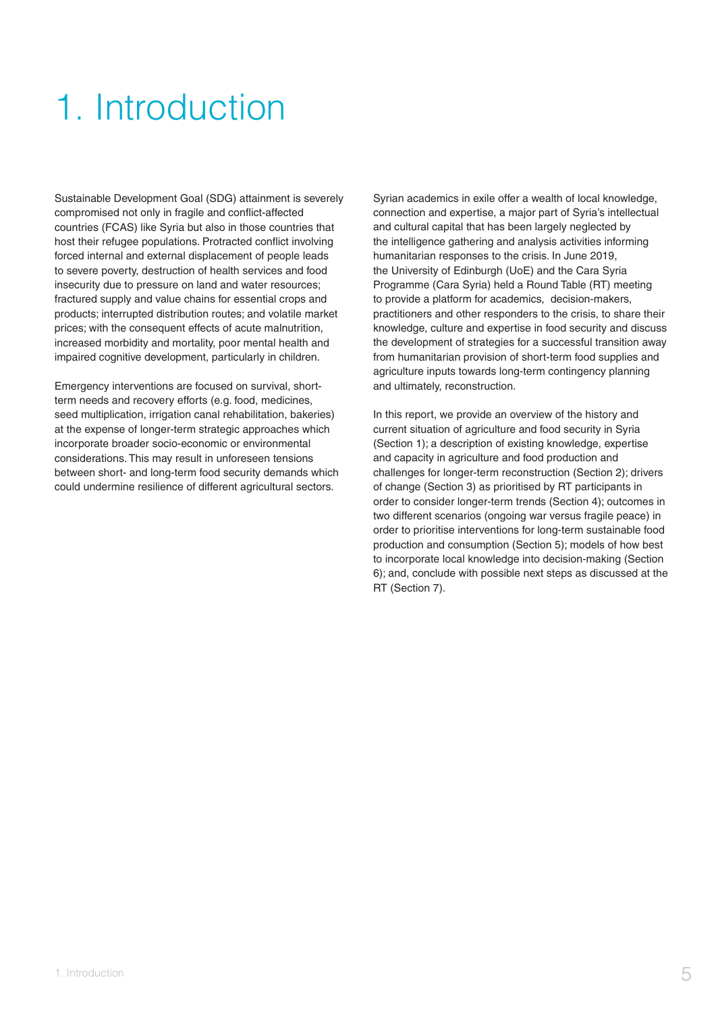# 1. Introduction

Sustainable Development Goal (SDG) attainment is severely compromised not only in fragile and conflict-affected countries (FCAS) like Syria but also in those countries that host their refugee populations. Protracted conflict involving forced internal and external displacement of people leads to severe poverty, destruction of health services and food insecurity due to pressure on land and water resources; fractured supply and value chains for essential crops and products; interrupted distribution routes; and volatile market prices; with the consequent effects of acute malnutrition, increased morbidity and mortality, poor mental health and impaired cognitive development, particularly in children.

Emergency interventions are focused on survival, shortterm needs and recovery efforts (e.g. food, medicines, seed multiplication, irrigation canal rehabilitation, bakeries) at the expense of longer-term strategic approaches which incorporate broader socio-economic or environmental considerations. This may result in unforeseen tensions between short- and long-term food security demands which could undermine resilience of different agricultural sectors.

Syrian academics in exile offer a wealth of local knowledge, connection and expertise, a major part of Syria's intellectual and cultural capital that has been largely neglected by the intelligence gathering and analysis activities informing humanitarian responses to the crisis. In June 2019, the University of Edinburgh (UoE) and the Cara Syria Programme (Cara Syria) held a Round Table (RT) meeting to provide a platform for academics, decision-makers, practitioners and other responders to the crisis, to share their knowledge, culture and expertise in food security and discuss the development of strategies for a successful transition away from humanitarian provision of short-term food supplies and agriculture inputs towards long-term contingency planning and ultimately, reconstruction.

In this report, we provide an overview of the history and current situation of agriculture and food security in Syria (Section 1); a description of existing knowledge, expertise and capacity in agriculture and food production and challenges for longer-term reconstruction (Section 2); drivers of change (Section 3) as prioritised by RT participants in order to consider longer-term trends (Section 4); outcomes in two different scenarios (ongoing war versus fragile peace) in order to prioritise interventions for long-term sustainable food production and consumption (Section 5); models of how best to incorporate local knowledge into decision-making (Section 6); and, conclude with possible next steps as discussed at the RT (Section 7).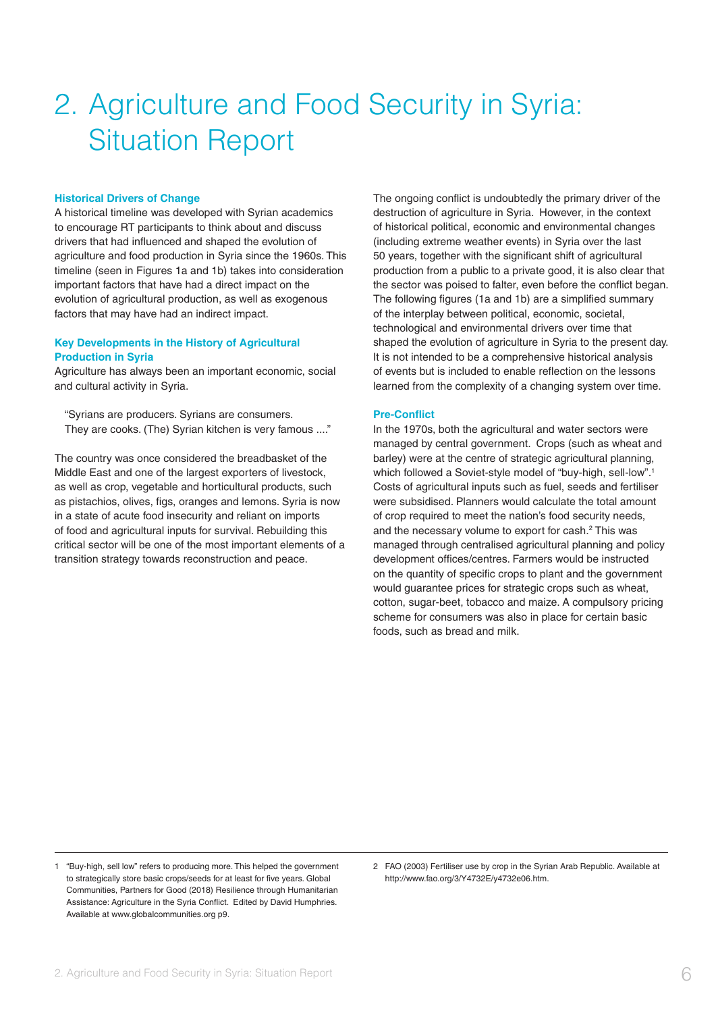## 2. Agriculture and Food Security in Syria: Situation Report

#### **Historical Drivers of Change**

A historical timeline was developed with Syrian academics to encourage RT participants to think about and discuss drivers that had influenced and shaped the evolution of agriculture and food production in Syria since the 1960s. This timeline (seen in Figures 1a and 1b) takes into consideration important factors that have had a direct impact on the evolution of agricultural production, as well as exogenous factors that may have had an indirect impact.

#### **Key Developments in the History of Agricultural Production in Syria**

Agriculture has always been an important economic, social and cultural activity in Syria.

"Syrians are producers. Syrians are consumers. They are cooks. (The) Syrian kitchen is very famous ...."

The country was once considered the breadbasket of the Middle East and one of the largest exporters of livestock, as well as crop, vegetable and horticultural products, such as pistachios, olives, figs, oranges and lemons. Syria is now in a state of acute food insecurity and reliant on imports of food and agricultural inputs for survival. Rebuilding this critical sector will be one of the most important elements of a transition strategy towards reconstruction and peace.

The ongoing conflict is undoubtedly the primary driver of the destruction of agriculture in Syria. However, in the context of historical political, economic and environmental changes (including extreme weather events) in Syria over the last 50 years, together with the significant shift of agricultural production from a public to a private good, it is also clear that the sector was poised to falter, even before the conflict began. The following figures (1a and 1b) are a simplified summary of the interplay between political, economic, societal, technological and environmental drivers over time that shaped the evolution of agriculture in Syria to the present day. It is not intended to be a comprehensive historical analysis of events but is included to enable reflection on the lessons learned from the complexity of a changing system over time.

#### **Pre-Conflict**

In the 1970s, both the agricultural and water sectors were managed by central government. Crops (such as wheat and barley) were at the centre of strategic agricultural planning, which followed a Soviet-style model of "buy-high, sell-low".1 Costs of agricultural inputs such as fuel, seeds and fertiliser were subsidised. Planners would calculate the total amount of crop required to meet the nation's food security needs, and the necessary volume to export for cash.<sup>2</sup> This was managed through centralised agricultural planning and policy development offices/centres. Farmers would be instructed on the quantity of specific crops to plant and the government would guarantee prices for strategic crops such as wheat, cotton, sugar-beet, tobacco and maize. A compulsory pricing scheme for consumers was also in place for certain basic foods, such as bread and milk.

2 FAO (2003) Fertiliser use by crop in the Syrian Arab Republic. Available at http://www.fao.org/3/Y4732E/y4732e06.htm.

<sup>1</sup> "Buy-high, sell low" refers to producing more. This helped the government to strategically store basic crops/seeds for at least for five years. Global Communities, Partners for Good (2018) Resilience through Humanitarian Assistance: Agriculture in the Syria Conflict. Edited by David Humphries. Available at www.globalcommunities.org p9.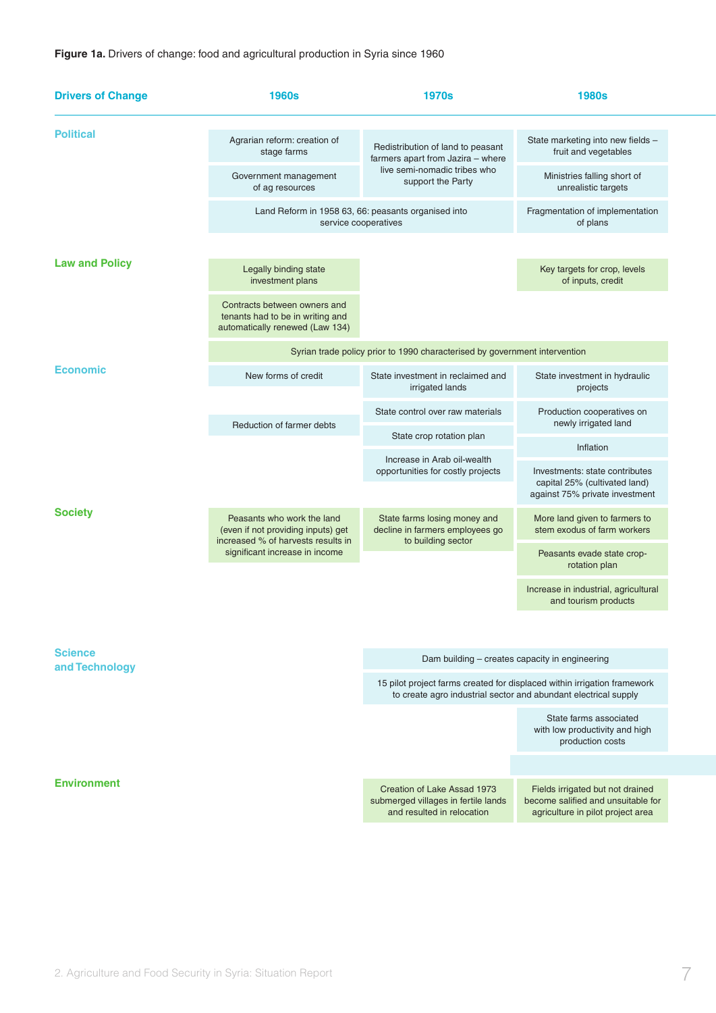#### **Figure 1a.** Drivers of change: food and agricultural production in Syria since 1960

| <b>Drivers of Change</b> | <b>1960s</b>                                                                                           | <b>1970s</b>                                                                                                                                | <b>1980s</b>                                                                                                |  |  |
|--------------------------|--------------------------------------------------------------------------------------------------------|---------------------------------------------------------------------------------------------------------------------------------------------|-------------------------------------------------------------------------------------------------------------|--|--|
| <b>Political</b>         | Agrarian reform: creation of<br>stage farms                                                            | Redistribution of land to peasant<br>farmers apart from Jazira - where                                                                      | State marketing into new fields -<br>fruit and vegetables                                                   |  |  |
|                          | Government management<br>of ag resources                                                               | live semi-nomadic tribes who<br>support the Party                                                                                           | Ministries falling short of<br>unrealistic targets                                                          |  |  |
|                          | Land Reform in 1958 63, 66: peasants organised into<br>service cooperatives                            | Fragmentation of implementation<br>of plans                                                                                                 |                                                                                                             |  |  |
|                          |                                                                                                        |                                                                                                                                             |                                                                                                             |  |  |
| <b>Law and Policy</b>    | Legally binding state<br>investment plans                                                              |                                                                                                                                             | Key targets for crop, levels<br>of inputs, credit                                                           |  |  |
|                          | Contracts between owners and<br>tenants had to be in writing and<br>automatically renewed (Law 134)    |                                                                                                                                             |                                                                                                             |  |  |
|                          |                                                                                                        | Syrian trade policy prior to 1990 characterised by government intervention                                                                  |                                                                                                             |  |  |
| <b>Economic</b>          | New forms of credit                                                                                    | State investment in reclaimed and<br>irrigated lands                                                                                        | State investment in hydraulic<br>projects                                                                   |  |  |
|                          | Reduction of farmer debts                                                                              | State control over raw materials                                                                                                            | Production cooperatives on<br>newly irrigated land                                                          |  |  |
|                          |                                                                                                        | State crop rotation plan                                                                                                                    | Inflation                                                                                                   |  |  |
|                          |                                                                                                        | Increase in Arab oil-wealth<br>opportunities for costly projects                                                                            | Investments: state contributes<br>capital 25% (cultivated land)                                             |  |  |
|                          |                                                                                                        |                                                                                                                                             | against 75% private investment                                                                              |  |  |
| <b>Society</b>           | Peasants who work the land<br>(even if not providing inputs) get<br>increased % of harvests results in | State farms losing money and<br>decline in farmers employees go<br>to building sector                                                       | More land given to farmers to<br>stem exodus of farm workers                                                |  |  |
|                          | significant increase in income                                                                         |                                                                                                                                             | Peasants evade state crop-<br>rotation plan                                                                 |  |  |
|                          |                                                                                                        |                                                                                                                                             | Increase in industrial, agricultural<br>and tourism products                                                |  |  |
|                          |                                                                                                        |                                                                                                                                             |                                                                                                             |  |  |
| <b>Science</b>           |                                                                                                        | Dam building – creates capacity in engineering                                                                                              |                                                                                                             |  |  |
| and Technology           |                                                                                                        | 15 pilot project farms created for displaced within irrigation framework<br>to create agro industrial sector and abundant electrical supply |                                                                                                             |  |  |
|                          |                                                                                                        |                                                                                                                                             | State farms associated<br>with low productivity and high<br>production costs                                |  |  |
|                          |                                                                                                        |                                                                                                                                             |                                                                                                             |  |  |
| <b>Environment</b>       |                                                                                                        | Creation of Lake Assad 1973<br>submerged villages in fertile lands<br>and resulted in relocation                                            | Fields irrigated but not drained<br>become salified and unsuitable for<br>agriculture in pilot project area |  |  |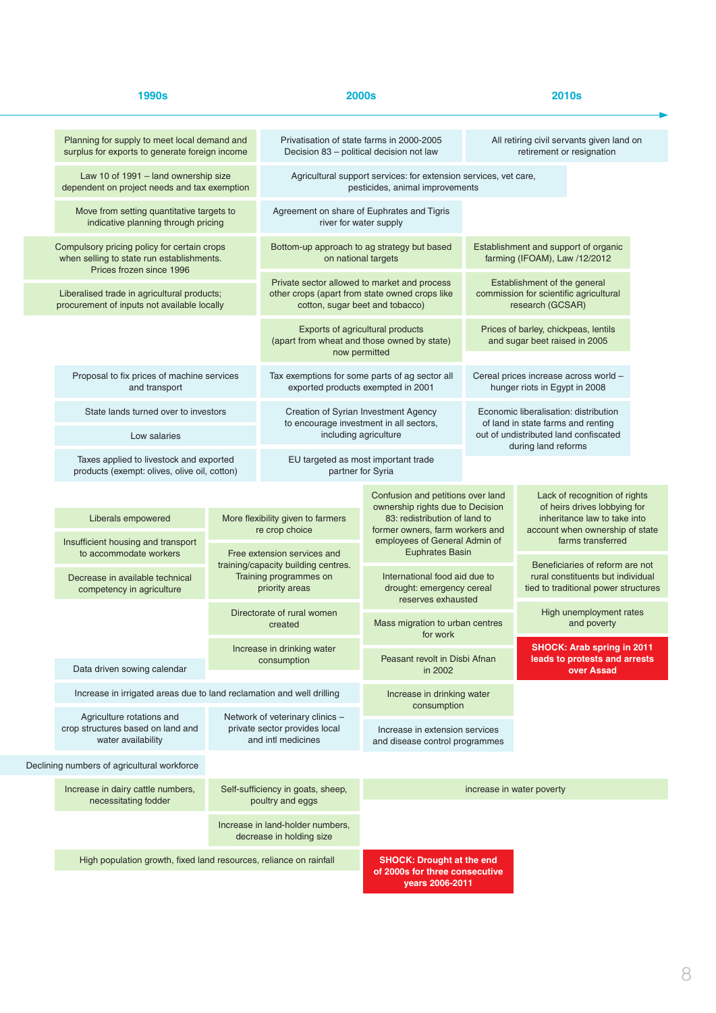| 1990s |                                                                                                | <b>2000s</b>                                                                           |                                                                                                     | <b>2010s</b>                                                                          |                                                                                                                                                                         |                                                                                                              |  |
|-------|------------------------------------------------------------------------------------------------|----------------------------------------------------------------------------------------|-----------------------------------------------------------------------------------------------------|---------------------------------------------------------------------------------------|-------------------------------------------------------------------------------------------------------------------------------------------------------------------------|--------------------------------------------------------------------------------------------------------------|--|
|       | Planning for supply to meet local demand and<br>surplus for exports to generate foreign income |                                                                                        | Privatisation of state farms in 2000-2005<br>Decision 83 - political decision not law               |                                                                                       | All retiring civil servants given land on<br>retirement or resignation                                                                                                  |                                                                                                              |  |
|       | Law 10 of 1991 - land ownership size<br>dependent on project needs and tax exemption           |                                                                                        | Agricultural support services: for extension services, vet care,<br>pesticides, animal improvements |                                                                                       |                                                                                                                                                                         |                                                                                                              |  |
|       | Move from setting quantitative targets to<br>indicative planning through pricing               |                                                                                        | Agreement on share of Euphrates and Tigris<br>river for water supply                                |                                                                                       |                                                                                                                                                                         |                                                                                                              |  |
|       | Compulsory pricing policy for certain crops<br>when selling to state run establishments.       |                                                                                        | Bottom-up approach to ag strategy but based<br>on national targets                                  |                                                                                       | Establishment and support of organic<br>farming (IFOAM), Law /12/2012                                                                                                   |                                                                                                              |  |
|       | Prices frozen since 1996<br>Liberalised trade in agricultural products;                        |                                                                                        | Private sector allowed to market and process<br>other crops (apart from state owned crops like      |                                                                                       | Establishment of the general<br>commission for scientific agricultural                                                                                                  |                                                                                                              |  |
|       | procurement of inputs not available locally                                                    |                                                                                        | cotton, sugar beet and tobacco)<br>Exports of agricultural products                                 |                                                                                       | research (GCSAR)<br>Prices of barley, chickpeas, lentils                                                                                                                |                                                                                                              |  |
|       |                                                                                                |                                                                                        | (apart from wheat and those owned by state)<br>now permitted                                        |                                                                                       |                                                                                                                                                                         | and sugar beet raised in 2005                                                                                |  |
|       | Proposal to fix prices of machine services<br>and transport                                    |                                                                                        |                                                                                                     | Tax exemptions for some parts of ag sector all<br>exported products exempted in 2001  |                                                                                                                                                                         | Cereal prices increase across world -<br>hunger riots in Egypt in 2008                                       |  |
|       | State lands turned over to investors                                                           |                                                                                        |                                                                                                     | Creation of Syrian Investment Agency<br>to encourage investment in all sectors,       | Economic liberalisation: distribution<br>of land in state farms and renting                                                                                             |                                                                                                              |  |
|       | Low salaries                                                                                   |                                                                                        |                                                                                                     | including agriculture                                                                 |                                                                                                                                                                         | out of undistributed land confiscated<br>during land reforms                                                 |  |
|       | Taxes applied to livestock and exported<br>products (exempt: olives, olive oil, cotton)        |                                                                                        | EU targeted as most important trade<br>partner for Syria                                            |                                                                                       |                                                                                                                                                                         |                                                                                                              |  |
|       |                                                                                                |                                                                                        |                                                                                                     | Confusion and petitions over land                                                     |                                                                                                                                                                         | Lack of recognition of rights<br>of heirs drives lobbying for                                                |  |
|       | Liberals empowered                                                                             |                                                                                        | More flexibility given to farmers<br>re crop choice                                                 |                                                                                       | ownership rights due to Decision<br>83: redistribution of land to<br>inheritance law to take into<br>former owners, farm workers and<br>account when ownership of state |                                                                                                              |  |
|       | Insufficient housing and transport<br>to accommodate workers                                   |                                                                                        | Free extension services and                                                                         | employees of General Admin of<br><b>Euphrates Basin</b>                               |                                                                                                                                                                         | farms transferred                                                                                            |  |
|       | Decrease in available technical<br>competency in agriculture                                   |                                                                                        | training/capacity building centres.<br>Training programmes on<br>priority areas                     | International food aid due to<br>drought: emergency cereal                            |                                                                                                                                                                         | Beneficiaries of reform are not<br>rural constituents but individual<br>tied to traditional power structures |  |
|       |                                                                                                | Directorate of rural women<br>created                                                  |                                                                                                     | reserves exhausted<br>Mass migration to urban centres                                 |                                                                                                                                                                         | High unemployment rates<br>and poverty                                                                       |  |
|       |                                                                                                |                                                                                        | Increase in drinking water                                                                          | for work<br>Peasant revolt in Disbi Afnan                                             |                                                                                                                                                                         | <b>SHOCK: Arab spring in 2011</b><br>leads to protests and arrests                                           |  |
|       | Data driven sowing calendar                                                                    | consumption                                                                            |                                                                                                     | in 2002                                                                               |                                                                                                                                                                         | over Assad                                                                                                   |  |
|       |                                                                                                | Increase in irrigated areas due to land reclamation and well drilling                  |                                                                                                     | Increase in drinking water<br>consumption                                             |                                                                                                                                                                         |                                                                                                              |  |
|       | Agriculture rotations and<br>crop structures based on land and<br>water availability           | Network of veterinary clinics -<br>private sector provides local<br>and intl medicines |                                                                                                     | Increase in extension services<br>and disease control programmes                      |                                                                                                                                                                         |                                                                                                              |  |
|       | Declining numbers of agricultural workforce                                                    |                                                                                        |                                                                                                     |                                                                                       |                                                                                                                                                                         |                                                                                                              |  |
|       | Increase in dairy cattle numbers,<br>necessitating fodder                                      | Self-sufficiency in goats, sheep,<br>poultry and eggs                                  |                                                                                                     |                                                                                       |                                                                                                                                                                         | increase in water poverty                                                                                    |  |
|       |                                                                                                |                                                                                        | Increase in land-holder numbers,<br>decrease in holding size                                        |                                                                                       |                                                                                                                                                                         |                                                                                                              |  |
|       | High population growth, fixed land resources, reliance on rainfall                             |                                                                                        |                                                                                                     | <b>SHOCK: Drought at the end</b><br>of 2000s for three consecutive<br>years 2006-2011 |                                                                                                                                                                         |                                                                                                              |  |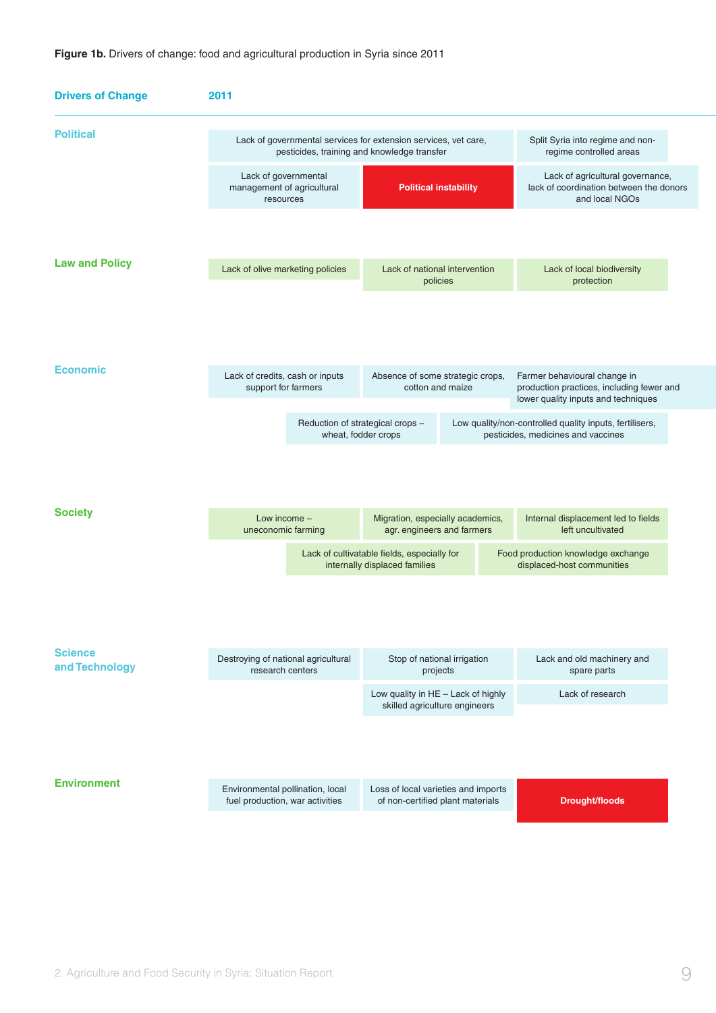| <b>Drivers of Change</b>         | 2011                                                                          |                                                                                                                |  |                                                                                                                  |  |
|----------------------------------|-------------------------------------------------------------------------------|----------------------------------------------------------------------------------------------------------------|--|------------------------------------------------------------------------------------------------------------------|--|
| <b>Political</b>                 |                                                                               | Lack of governmental services for extension services, vet care,<br>pesticides, training and knowledge transfer |  |                                                                                                                  |  |
|                                  | Lack of governmental<br>management of agricultural<br>resources               | <b>Political instability</b>                                                                                   |  | Lack of agricultural governance,<br>lack of coordination between the donors<br>and local NGOs                    |  |
|                                  |                                                                               |                                                                                                                |  |                                                                                                                  |  |
| <b>Law and Policy</b>            | Lack of national intervention<br>Lack of olive marketing policies<br>policies |                                                                                                                |  | Lack of local biodiversity<br>protection                                                                         |  |
|                                  |                                                                               |                                                                                                                |  |                                                                                                                  |  |
| <b>Economic</b>                  | Lack of credits, cash or inputs<br>support for farmers                        | Absence of some strategic crops,<br>cotton and maize                                                           |  | Farmer behavioural change in<br>production practices, including fewer and<br>lower quality inputs and techniques |  |
|                                  |                                                                               | Reduction of strategical crops -<br>wheat, fodder crops                                                        |  | Low quality/non-controlled quality inputs, fertilisers,<br>pesticides, medicines and vaccines                    |  |
|                                  |                                                                               |                                                                                                                |  |                                                                                                                  |  |
| <b>Society</b>                   | Low income -<br>uneconomic farming                                            | Migration, especially academics,<br>agr. engineers and farmers                                                 |  | Internal displacement led to fields<br>left uncultivated                                                         |  |
|                                  |                                                                               | Lack of cultivatable fields, especially for<br>internally displaced families                                   |  | Food production knowledge exchange<br>displaced-host communities                                                 |  |
|                                  |                                                                               |                                                                                                                |  |                                                                                                                  |  |
| <b>Science</b><br>and Technology | Destroying of national agricultural<br>research centers                       | Stop of national irrigation<br>projects                                                                        |  | Lack and old machinery and<br>spare parts                                                                        |  |
|                                  |                                                                               | Low quality in HE - Lack of highly<br>skilled agriculture engineers                                            |  | Lack of research                                                                                                 |  |
|                                  |                                                                               |                                                                                                                |  |                                                                                                                  |  |
| <b>Environment</b>               | Environmental pollination, local<br>fuel production, war activities           | Loss of local varieties and imports<br>of non-certified plant materials                                        |  | <b>Drought/floods</b>                                                                                            |  |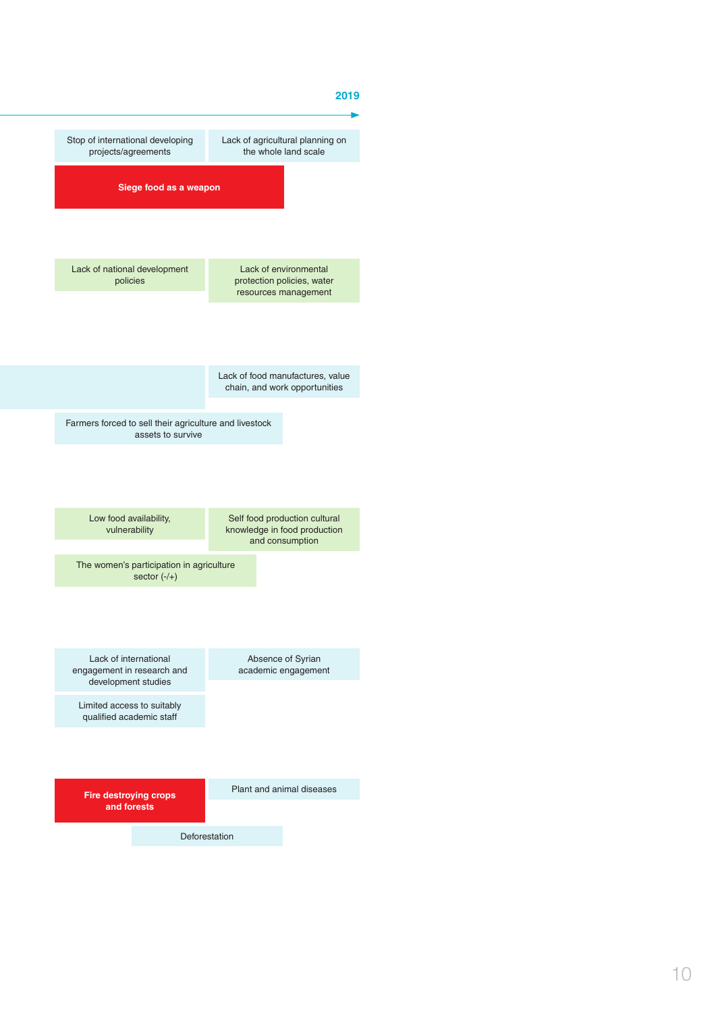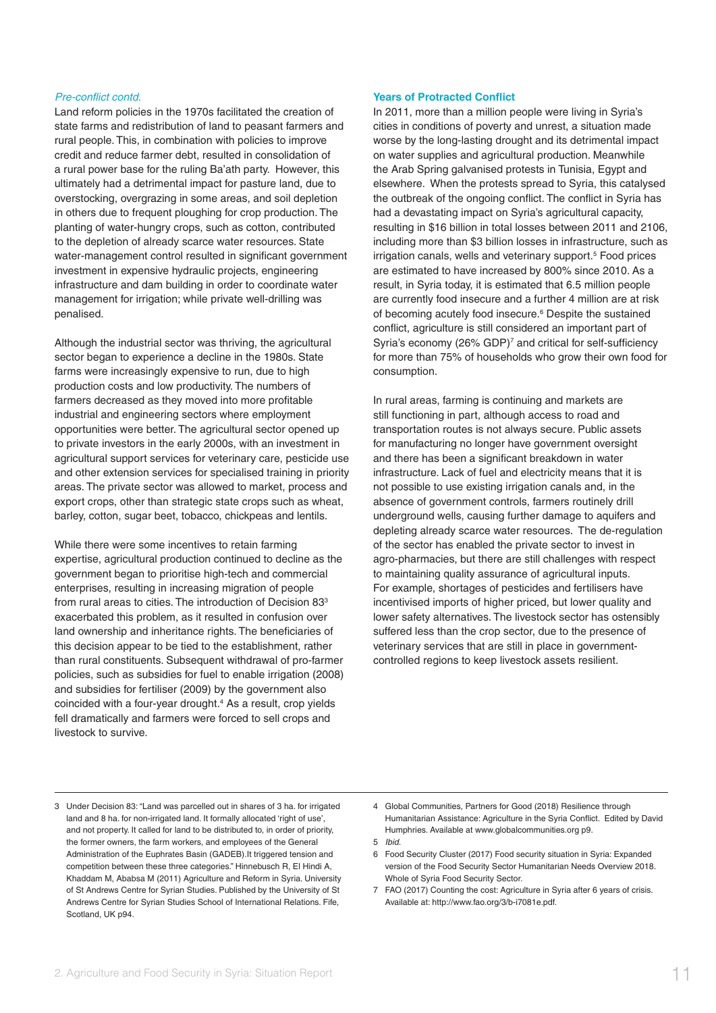#### Pre-conflict contd.

Land reform policies in the 1970s facilitated the creation of state farms and redistribution of land to peasant farmers and rural people. This, in combination with policies to improve credit and reduce farmer debt, resulted in consolidation of a rural power base for the ruling Ba'ath party. However, this ultimately had a detrimental impact for pasture land, due to overstocking, overgrazing in some areas, and soil depletion in others due to frequent ploughing for crop production. The planting of water-hungry crops, such as cotton, contributed to the depletion of already scarce water resources. State water-management control resulted in significant government investment in expensive hydraulic projects, engineering infrastructure and dam building in order to coordinate water management for irrigation; while private well-drilling was penalised.

Although the industrial sector was thriving, the agricultural sector began to experience a decline in the 1980s. State farms were increasingly expensive to run, due to high production costs and low productivity. The numbers of farmers decreased as they moved into more profitable industrial and engineering sectors where employment opportunities were better. The agricultural sector opened up to private investors in the early 2000s, with an investment in agricultural support services for veterinary care, pesticide use and other extension services for specialised training in priority areas. The private sector was allowed to market, process and export crops, other than strategic state crops such as wheat, barley, cotton, sugar beet, tobacco, chickpeas and lentils.

While there were some incentives to retain farming expertise, agricultural production continued to decline as the government began to prioritise high-tech and commercial enterprises, resulting in increasing migration of people from rural areas to cities. The introduction of Decision 83<sup>3</sup> exacerbated this problem, as it resulted in confusion over land ownership and inheritance rights. The beneficiaries of this decision appear to be tied to the establishment, rather than rural constituents. Subsequent withdrawal of pro-farmer policies, such as subsidies for fuel to enable irrigation (2008) and subsidies for fertiliser (2009) by the government also coincided with a four-year drought.<sup>4</sup> As a result, crop yields fell dramatically and farmers were forced to sell crops and livestock to survive.

#### **Years of Protracted Conflict**

In 2011, more than a million people were living in Syria's cities in conditions of poverty and unrest, a situation made worse by the long-lasting drought and its detrimental impact on water supplies and agricultural production. Meanwhile the Arab Spring galvanised protests in Tunisia, Egypt and elsewhere. When the protests spread to Syria, this catalysed the outbreak of the ongoing conflict. The conflict in Syria has had a devastating impact on Syria's agricultural capacity, resulting in \$16 billion in total losses between 2011 and 2106, including more than \$3 billion losses in infrastructure, such as irrigation canals, wells and veterinary support.<sup>5</sup> Food prices are estimated to have increased by 800% since 2010. As a result, in Syria today, it is estimated that 6.5 million people are currently food insecure and a further 4 million are at risk of becoming acutely food insecure.<sup>6</sup> Despite the sustained conflict, agriculture is still considered an important part of Syria's economy (26% GDP)<sup>7</sup> and critical for self-sufficiency for more than 75% of households who grow their own food for consumption.

In rural areas, farming is continuing and markets are still functioning in part, although access to road and transportation routes is not always secure. Public assets for manufacturing no longer have government oversight and there has been a significant breakdown in water infrastructure. Lack of fuel and electricity means that it is not possible to use existing irrigation canals and, in the absence of government controls, farmers routinely drill underground wells, causing further damage to aquifers and depleting already scarce water resources. The de-regulation of the sector has enabled the private sector to invest in agro-pharmacies, but there are still challenges with respect to maintaining quality assurance of agricultural inputs. For example, shortages of pesticides and fertilisers have incentivised imports of higher priced, but lower quality and lower safety alternatives. The livestock sector has ostensibly suffered less than the crop sector, due to the presence of veterinary services that are still in place in governmentcontrolled regions to keep livestock assets resilient.

- 3 Under Decision 83: "Land was parcelled out in shares of 3 ha. for irrigated land and 8 ha, for non-irrigated land. It formally allocated 'right of use' and not property. It called for land to be distributed to, in order of priority, the former owners, the farm workers, and employees of the General Administration of the Euphrates Basin (GADEB).It triggered tension and competition between these three categories." Hinnebusch R, El Hindi A, Khaddam M, Ababsa M (2011) Agriculture and Reform in Syria. University of St Andrews Centre for Syrian Studies. Published by the University of St Andrews Centre for Syrian Studies School of International Relations. Fife, Scotland, UK p94.
- 4 Global Communities, Partners for Good (2018) Resilience through Humanitarian Assistance: Agriculture in the Syria Conflict. Edited by David Humphries. Available at www.globalcommunities.org p9.
- 5 Ibid.
- 6 Food Security Cluster (2017) Food security situation in Syria: Expanded version of the Food Security Sector Humanitarian Needs Overview 2018. Whole of Syria Food Security Sector.
- 7 FAO (2017) Counting the cost: Agriculture in Syria after 6 years of crisis. Available at: http://www.fao.org/3/b-i7081e.pdf.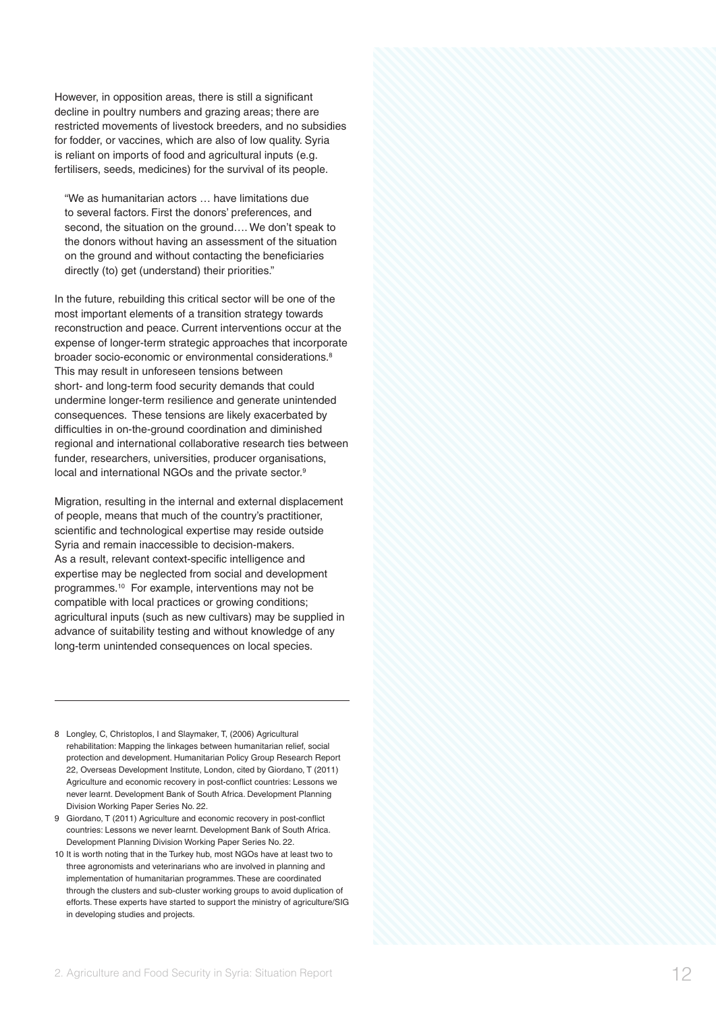However, in opposition areas, there is still a significant decline in poultry numbers and grazing areas; there are restricted movements of livestock breeders, and no subsidies for fodder, or vaccines, which are also of low quality. Syria is reliant on imports of food and agricultural inputs (e.g. fertilisers, seeds, medicines) for the survival of its people.

"We as humanitarian actors … have limitations due to several factors. First the donors' preferences, and second, the situation on the ground…. We don't speak to the donors without having an assessment of the situation on the ground and without contacting the beneficiaries directly (to) get (understand) their priorities."

In the future, rebuilding this critical sector will be one of the most important elements of a transition strategy towards reconstruction and peace. Current interventions occur at the expense of longer-term strategic approaches that incorporate broader socio-economic or environmental considerations. 8 This may result in unforeseen tensions between short- and long-term food security demands that could undermine longer-term resilience and generate unintended consequences. These tensions are likely exacerbated by difficulties in on-the-ground coordination and diminished regional and international collaborative research ties between funder, researchers, universities, producer organisations, local and international NGOs and the private sector.<sup>9</sup>

Migration, resulting in the internal and external displacement of people, means that much of the country's practitioner, scientific and technological expertise may reside outside Syria and remain inaccessible to decision-makers. As a result, relevant context-specific intelligence and expertise may be neglected from social and development programmes.10 For example, interventions may not be compatible with local practices or growing conditions; agricultural inputs (such as new cultivars) may be supplied in advance of suitability testing and without knowledge of any long-term unintended consequences on local species.

- 8 Longley, C, Christoplos, Land Slaymaker, T, (2006) Agricultural rehabilitation: Mapping the linkages between humanitarian relief, social protection and development. Humanitarian Policy Group Research Report 22, Overseas Development Institute, London, cited by Giordano, T (2011) Agriculture and economic recovery in post-conflict countries: Lessons we never learnt. Development Bank of South Africa. Development Planning Division Working Paper Series No. 22.
- 9 Giordano, T (2011) Agriculture and economic recovery in post-conflict countries: Lessons we never learnt. Development Bank of South Africa. Development Planning Division Working Paper Series No. 22.
- 10 It is worth noting that in the Turkey hub, most NGOs have at least two to three agronomists and veterinarians who are involved in planning and implementation of humanitarian programmes. These are coordinated through the clusters and sub-cluster working groups to avoid duplication of efforts. These experts have started to support the ministry of agriculture/SIG in developing studies and projects.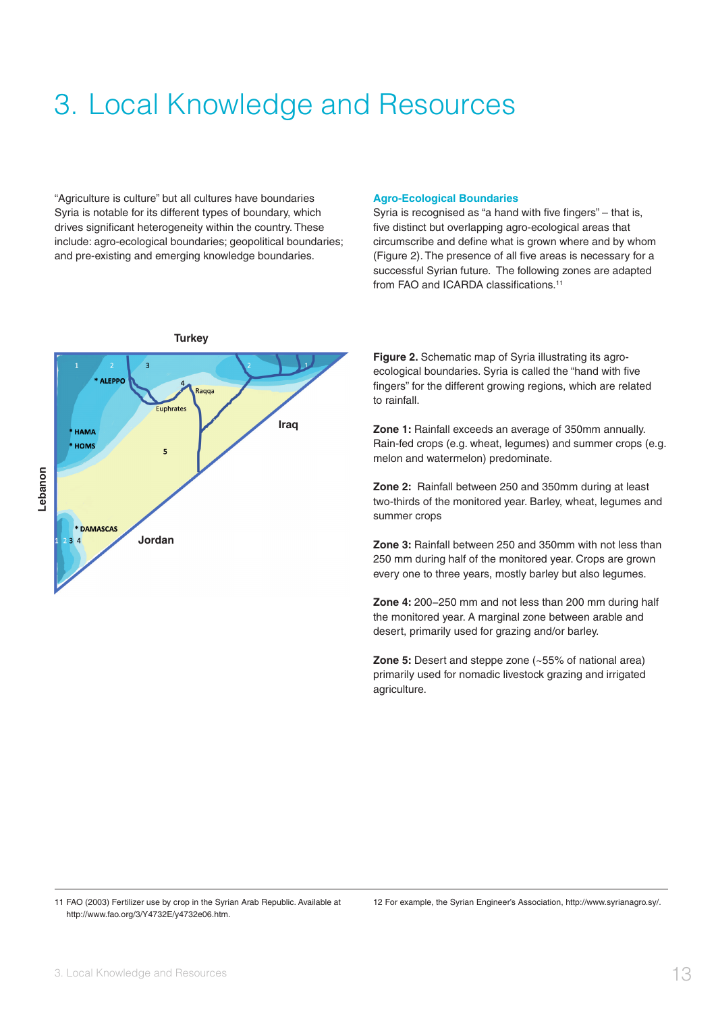### 3. Local Knowledge and Resources

"Agriculture is culture" but all cultures have boundaries Syria is notable for its different types of boundary, which drives significant heterogeneity within the country. These include: agro-ecological boundaries; geopolitical boundaries; and pre-existing and emerging knowledge boundaries.

#### **Agro-Ecological Boundaries**

Syria is recognised as "a hand with five fingers" – that is, five distinct but overlapping agro-ecological areas that circumscribe and define what is grown where and by whom (Figure 2). The presence of all five areas is necessary for a successful Syrian future. The following zones are adapted from FAO and ICARDA classifications.<sup>11</sup>



**Figure 2.** Schematic map of Syria illustrating its agroecological boundaries. Syria is called the "hand with five fingers" for the different growing regions, which are related to rainfall.

**Zone 1:** Rainfall exceeds an average of 350mm annually. Rain-fed crops (e.g. wheat, legumes) and summer crops (e.g. melon and watermelon) predominate.

**Zone 2:** Rainfall between 250 and 350mm during at least two-thirds of the monitored year. Barley, wheat, legumes and summer crops

**Zone 3:** Rainfall between 250 and 350mm with not less than 250 mm during half of the monitored year. Crops are grown every one to three years, mostly barley but also legumes.

**Zone 4:** 200−250 mm and not less than 200 mm during half the monitored year. A marginal zone between arable and desert, primarily used for grazing and/or barley.

**Zone 5:** Desert and steppe zone (~55% of national area) primarily used for nomadic livestock grazing and irrigated agriculture.

12 For example, the Syrian Engineer's Association, http://www.syrianagro.sy/.

<sup>11</sup> FAO (2003) Fertilizer use by crop in the Syrian Arab Republic. Available at http://www.fao.org/3/Y4732E/y4732e06.htm.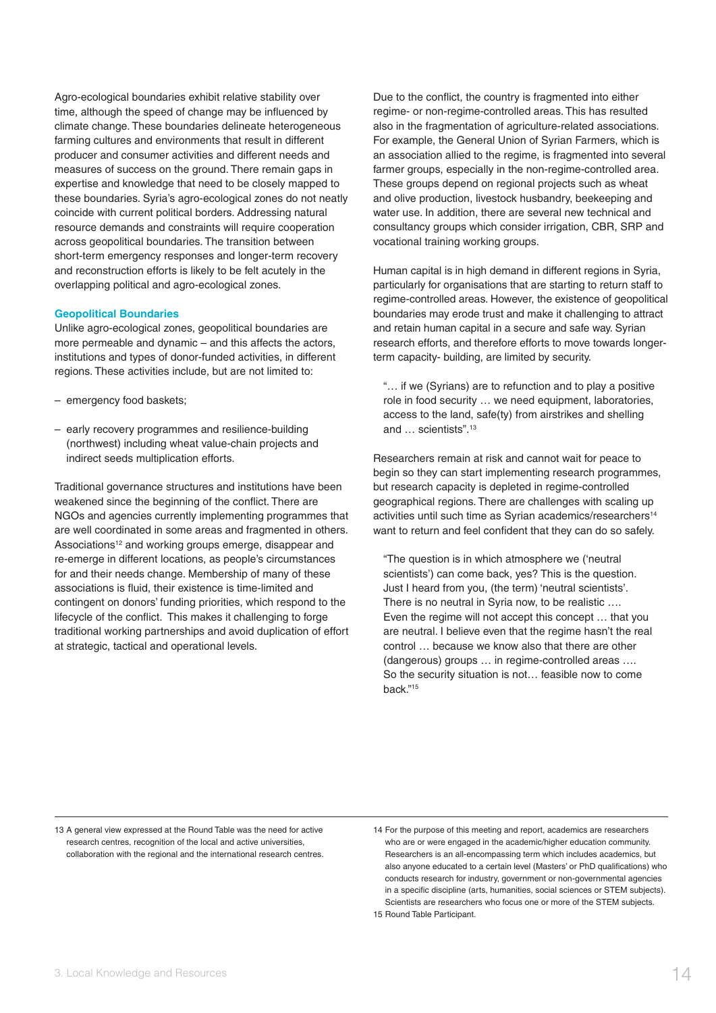Agro-ecological boundaries exhibit relative stability over time, although the speed of change may be influenced by climate change. These boundaries delineate heterogeneous farming cultures and environments that result in different producer and consumer activities and different needs and measures of success on the ground. There remain gaps in expertise and knowledge that need to be closely mapped to these boundaries. Syria's agro-ecological zones do not neatly coincide with current political borders. Addressing natural resource demands and constraints will require cooperation across geopolitical boundaries. The transition between short-term emergency responses and longer-term recovery and reconstruction efforts is likely to be felt acutely in the overlapping political and agro-ecological zones.

#### **Geopolitical Boundaries**

Unlike agro-ecological zones, geopolitical boundaries are more permeable and dynamic – and this affects the actors, institutions and types of donor-funded activities, in different regions. These activities include, but are not limited to:

- emergency food baskets;
- early recovery programmes and resilience-building (northwest) including wheat value-chain projects and indirect seeds multiplication efforts.

Traditional governance structures and institutions have been weakened since the beginning of the conflict. There are NGOs and agencies currently implementing programmes that are well coordinated in some areas and fragmented in others. Associations<sup>12</sup> and working groups emerge, disappear and re-emerge in different locations, as people's circumstances for and their needs change. Membership of many of these associations is fluid, their existence is time-limited and contingent on donors' funding priorities, which respond to the lifecycle of the conflict. This makes it challenging to forge traditional working partnerships and avoid duplication of effort at strategic, tactical and operational levels.

Due to the conflict, the country is fragmented into either regime- or non-regime-controlled areas. This has resulted also in the fragmentation of agriculture-related associations. For example, the General Union of Syrian Farmers, which is an association allied to the regime, is fragmented into several farmer groups, especially in the non-regime-controlled area. These groups depend on regional projects such as wheat and olive production, livestock husbandry, beekeeping and water use. In addition, there are several new technical and consultancy groups which consider irrigation, CBR, SRP and vocational training working groups.

Human capital is in high demand in different regions in Syria, particularly for organisations that are starting to return staff to regime-controlled areas. However, the existence of geopolitical boundaries may erode trust and make it challenging to attract and retain human capital in a secure and safe way. Syrian research efforts, and therefore efforts to move towards longerterm capacity- building, are limited by security.

"… if we (Syrians) are to refunction and to play a positive role in food security … we need equipment, laboratories, access to the land, safe(ty) from airstrikes and shelling and … scientists".13

Researchers remain at risk and cannot wait for peace to begin so they can start implementing research programmes, but research capacity is depleted in regime-controlled geographical regions. There are challenges with scaling up activities until such time as Syrian academics/researchers<sup>14</sup> want to return and feel confident that they can do so safely.

"The question is in which atmosphere we ('neutral scientists') can come back, yes? This is the question. Just I heard from you, (the term) 'neutral scientists'. There is no neutral in Syria now, to be realistic …. Even the regime will not accept this concept … that you are neutral. I believe even that the regime hasn't the real control … because we know also that there are other (dangerous) groups … in regime-controlled areas …. So the security situation is not… feasible now to come back."15

13 A general view expressed at the Round Table was the need for active research centres, recognition of the local and active universities, collaboration with the regional and the international research centres. 14 For the purpose of this meeting and report, academics are researchers who are or were engaged in the academic/higher education community. Researchers is an all-encompassing term which includes academics, but also anyone educated to a certain level (Masters' or PhD qualifications) who conducts research for industry, government or non-governmental agencies in a specific discipline (arts, humanities, social sciences or STEM subjects). Scientists are researchers who focus one or more of the STEM subjects. 15 Round Table Participant.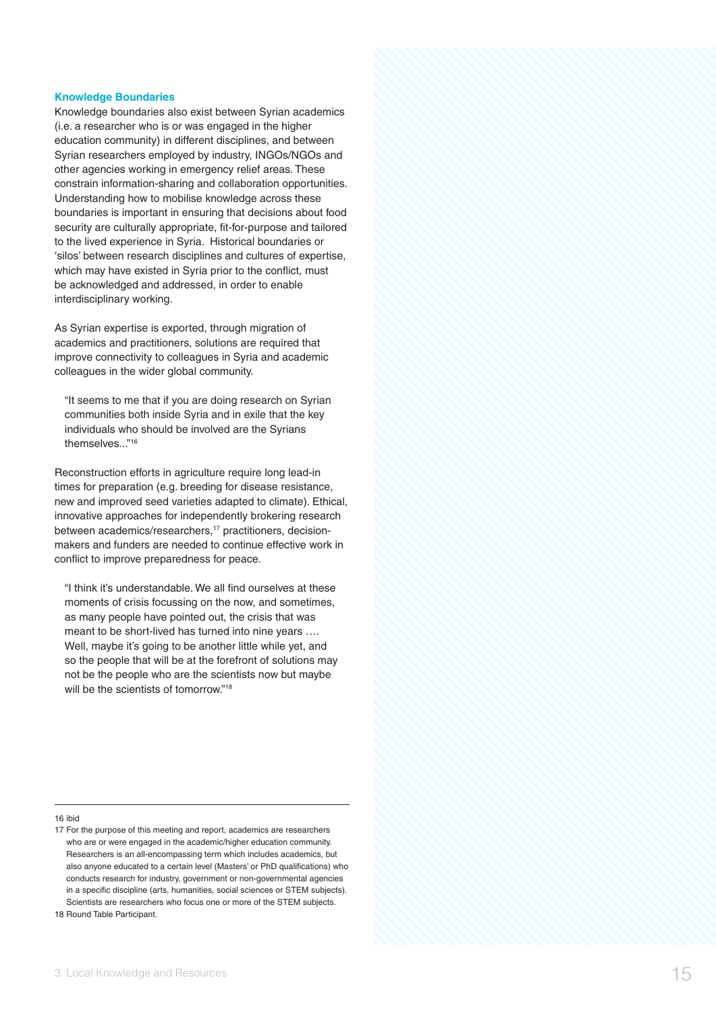#### **Knowledge Boundaries**

Knowledge boundaries also exist between Syrian academics (i.e. a researcher who is or was engaged in the higher education community) in different disciplines, and between Syrian researchers employed by industry, INGOs/NGOs and other agencies working in emergency relief areas. These constrain information-sharing and collaboration opportunities. Understanding how to mobilise knowledge across these boundaries is important in ensuring that decisions about food security are culturally appropriate, fit-for-purpose and tailored to the lived experience in Syria. Historical boundaries or 'silos' between research disciplines and cultures of expertise, which may have existed in Syria prior to the conflict, must be acknowledged and addressed, in order to enable interdisciplinary working.

As Syrian expertise is exported, through migration of academics and practitioners, solutions are required that improve connectivity to colleagues in Syria and academic colleagues in the wider global community.

"It seems to me that if you are doing research on Syrian communities both inside Syria and in exile that the key individuals who should be involved are the Syrians themselves..."16

Reconstruction efforts in agriculture require long lead-in times for preparation (e.g. breeding for disease resistance, new and improved seed varieties adapted to climate). Ethical, innovative approaches for independently brokering research between academics/researchers,<sup>17</sup> practitioners, decisionmakers and funders are needed to continue effective work in conflict to improve preparedness for peace.

"I think it's understandable. We all find ourselves at these moments of crisis focussing on the now, and sometimes, as many people have pointed out, the crisis that was meant to be short-lived has turned into nine years …. Well, maybe it's going to be another little while yet, and so the people that will be at the forefront of solutions may not be the people who are the scientists now but maybe will be the scientists of tomorrow."<sup>18</sup>

#### 16 ibid

<sup>17</sup> For the purpose of this meeting and report, academics are researchers who are or were engaged in the academic/higher education community. Researchers is an all-encompassing term which includes academics, but also anyone educated to a certain level (Masters' or PhD qualifications) who conducts research for industry, government or non-governmental agencies in a specific discipline (arts, humanities, social sciences or STEM subjects). Scientists are researchers who focus one or more of the STEM subjects. 18 Round Table Participant.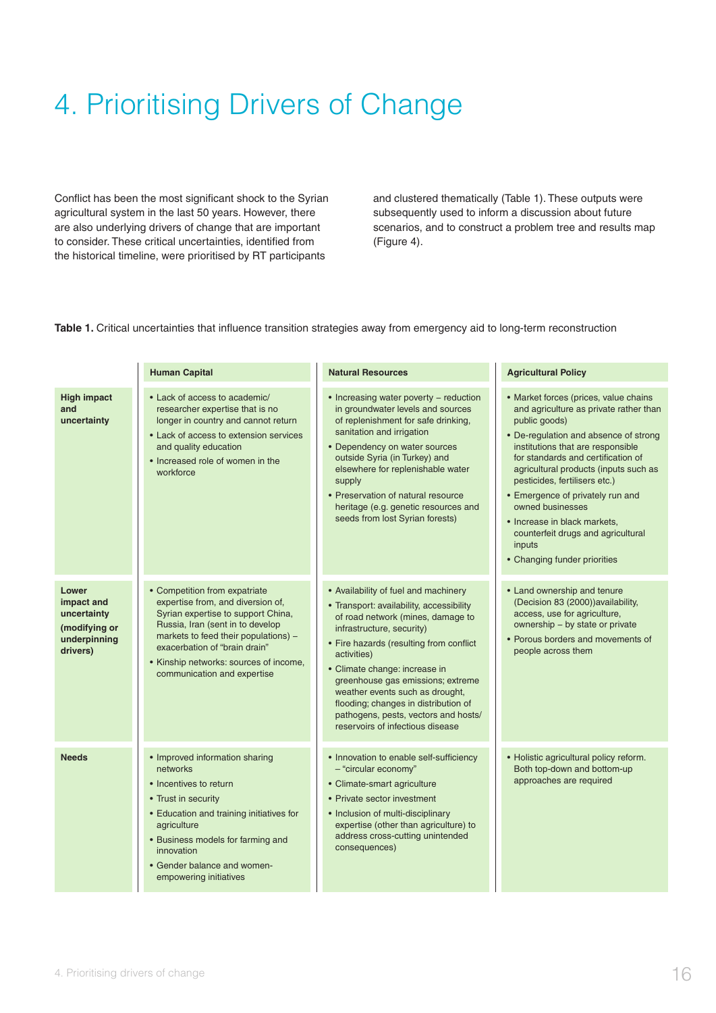## 4. Prioritising Drivers of Change

Conflict has been the most significant shock to the Syrian agricultural system in the last 50 years. However, there are also underlying drivers of change that are important to consider. These critical uncertainties, identified from the historical timeline, were prioritised by RT participants

and clustered thematically (Table 1). These outputs were subsequently used to inform a discussion about future scenarios, and to construct a problem tree and results map (Figure 4).

**Table 1.** Critical uncertainties that influence transition strategies away from emergency aid to long-term reconstruction

|                                                                                 | <b>Human Capital</b>                                                                                                                                                                                                                                                                           | <b>Natural Resources</b>                                                                                                                                                                                                                                                                                                                                                                                                                  | <b>Agricultural Policy</b>                                                                                                                                                                                                                                                                                                                                                                                                                                             |
|---------------------------------------------------------------------------------|------------------------------------------------------------------------------------------------------------------------------------------------------------------------------------------------------------------------------------------------------------------------------------------------|-------------------------------------------------------------------------------------------------------------------------------------------------------------------------------------------------------------------------------------------------------------------------------------------------------------------------------------------------------------------------------------------------------------------------------------------|------------------------------------------------------------------------------------------------------------------------------------------------------------------------------------------------------------------------------------------------------------------------------------------------------------------------------------------------------------------------------------------------------------------------------------------------------------------------|
| <b>High impact</b><br>and<br>uncertainty                                        | • Lack of access to academic/<br>researcher expertise that is no<br>longer in country and cannot return<br>• Lack of access to extension services<br>and quality education<br>• Increased role of women in the<br>workforce                                                                    | • Increasing water poverty - reduction<br>in groundwater levels and sources<br>of replenishment for safe drinking,<br>sanitation and irrigation<br>• Dependency on water sources<br>outside Syria (in Turkey) and<br>elsewhere for replenishable water<br>supply<br>• Preservation of natural resource<br>heritage (e.g. genetic resources and<br>seeds from lost Syrian forests)                                                         | • Market forces (prices, value chains<br>and agriculture as private rather than<br>public goods)<br>• De-regulation and absence of strong<br>institutions that are responsible<br>for standards and certification of<br>agricultural products (inputs such as<br>pesticides, fertilisers etc.)<br>• Emergence of privately run and<br>owned businesses<br>• Increase in black markets,<br>counterfeit drugs and agricultural<br>inputs<br>• Changing funder priorities |
| Lower<br>impact and<br>uncertainty<br>(modifying or<br>underpinning<br>drivers) | • Competition from expatriate<br>expertise from, and diversion of,<br>Syrian expertise to support China,<br>Russia, Iran (sent in to develop<br>markets to feed their populations) -<br>exacerbation of "brain drain"<br>• Kinship networks: sources of income,<br>communication and expertise | • Availability of fuel and machinery<br>• Transport: availability, accessibility<br>of road network (mines, damage to<br>infrastructure, security)<br>• Fire hazards (resulting from conflict<br>activities)<br>• Climate change: increase in<br>greenhouse gas emissions; extreme<br>weather events such as drought,<br>flooding; changes in distribution of<br>pathogens, pests, vectors and hosts/<br>reservoirs of infectious disease | • Land ownership and tenure<br>(Decision 83 (2000)) availability,<br>access, use for agriculture,<br>ownership - by state or private<br>• Porous borders and movements of<br>people across them                                                                                                                                                                                                                                                                        |
| <b>Needs</b>                                                                    | • Improved information sharing<br>networks<br>• Incentives to return<br>• Trust in security<br>• Education and training initiatives for<br>agriculture<br>• Business models for farming and<br>innovation<br>• Gender balance and women-<br>empowering initiatives                             | • Innovation to enable self-sufficiency<br>- "circular economy"<br>• Climate-smart agriculture<br>• Private sector investment<br>• Inclusion of multi-disciplinary<br>expertise (other than agriculture) to<br>address cross-cutting unintended<br>consequences)                                                                                                                                                                          | • Holistic agricultural policy reform.<br>Both top-down and bottom-up<br>approaches are required                                                                                                                                                                                                                                                                                                                                                                       |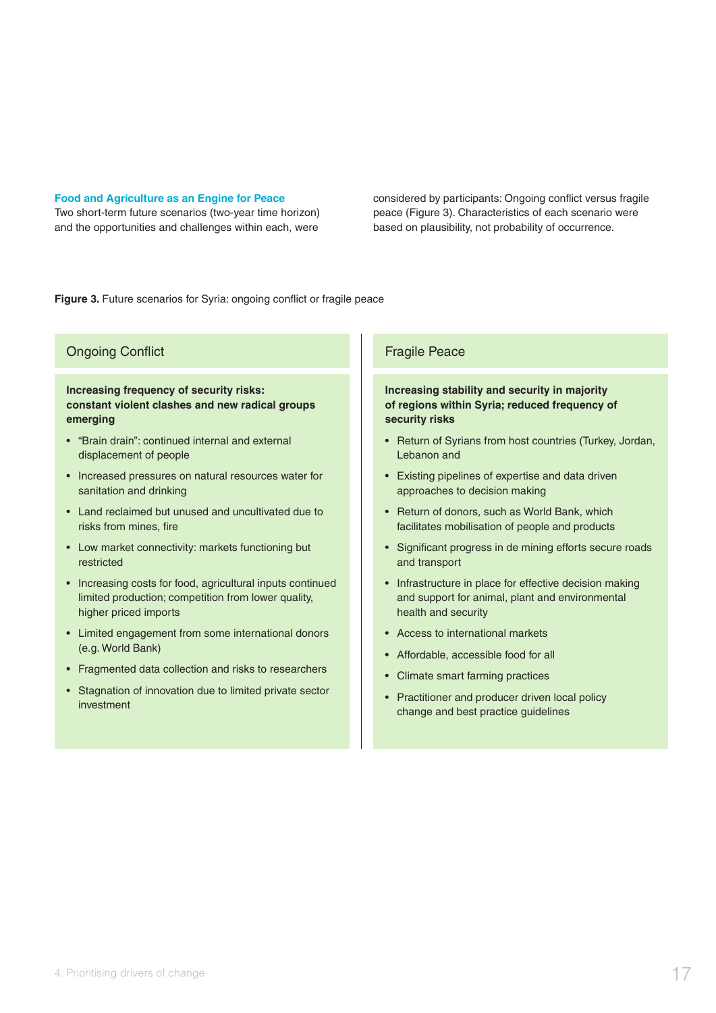#### **Food and Agriculture as an Engine for Peace**

Two short-term future scenarios (two-year time horizon) and the opportunities and challenges within each, were

considered by participants: Ongoing conflict versus fragile peace (Figure 3). Characteristics of each scenario were based on plausibility, not probability of occurrence.

**Figure 3.** Future scenarios for Syria: ongoing conflict or fragile peace

#### Ongoing Conflict

**Increasing frequency of security risks: constant violent clashes and new radical groups emerging**

- "Brain drain": continued internal and external displacement of people
- Increased pressures on natural resources water for sanitation and drinking
- Land reclaimed but unused and uncultivated due to risks from mines, fire
- Low market connectivity: markets functioning but restricted
- Increasing costs for food, agricultural inputs continued limited production; competition from lower quality, higher priced imports
- Limited engagement from some international donors (e.g. World Bank)
- Fragmented data collection and risks to researchers
- Stagnation of innovation due to limited private sector investment

#### Fragile Peace

#### **Increasing stability and security in majority of regions within Syria; reduced frequency of security risks**

- Return of Syrians from host countries (Turkey, Jordan, Lebanon and
- Existing pipelines of expertise and data driven approaches to decision making
- Return of donors, such as World Bank, which facilitates mobilisation of people and products
- Significant progress in de mining efforts secure roads and transport
- Infrastructure in place for effective decision making and support for animal, plant and environmental health and security
- Access to international markets
- Affordable, accessible food for all
- Climate smart farming practices
- Practitioner and producer driven local policy change and best practice guidelines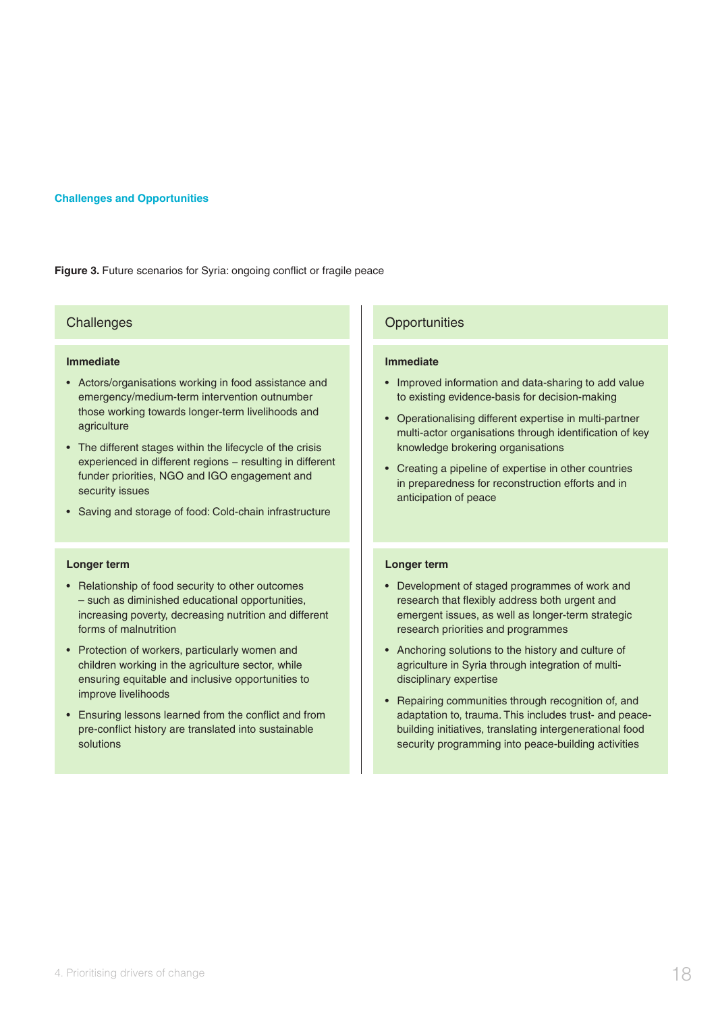#### **Challenges and Opportunities**

Figure 3. Future scenarios for Syria: ongoing conflict or fragile peace

#### **Challenges**

#### **Immediate**

- Actors/organisations working in food assistance and emergency/medium-term intervention outnumber those working towards longer-term livelihoods and agriculture
- The different stages within the lifecycle of the crisis experienced in different regions - resulting in different funder priorities, NGO and IGO engagement and security issues
- Saving and storage of food: Cold-chain infrastructure

#### **Longer term**

- Relationship of food security to other outcomes – such as diminished educational opportunities, increasing poverty, decreasing nutrition and different forms of malnutrition
- Protection of workers, particularly women and children working in the agriculture sector, while ensuring equitable and inclusive opportunities to improve livelihoods
- Ensuring lessons learned from the conflict and from pre-conflict history are translated into sustainable solutions

#### **Opportunities**

#### **Immediate**

- Improved information and data-sharing to add value to existing evidence-basis for decision-making
- Operationalising different expertise in multi-partner multi-actor organisations through identification of key knowledge brokering organisations
- Creating a pipeline of expertise in other countries in preparedness for reconstruction efforts and in anticipation of peace

#### **Longer term**

- Development of staged programmes of work and research that flexibly address both urgent and emergent issues, as well as longer-term strategic research priorities and programmes
- Anchoring solutions to the history and culture of agriculture in Syria through integration of multidisciplinary expertise
- Repairing communities through recognition of, and adaptation to, trauma. This includes trust- and peacebuilding initiatives, translating intergenerational food security programming into peace-building activities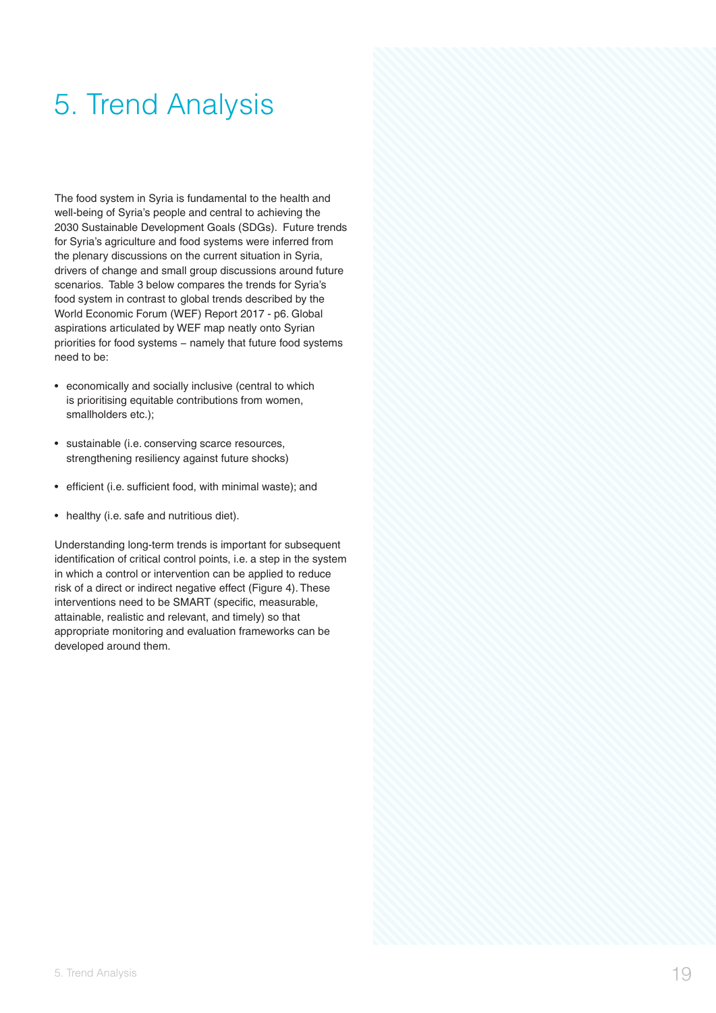## 5. Trend Analysis

The food system in Syria is fundamental to the health and well-being of Syria's people and central to achieving the 2030 Sustainable Development Goals (SDGs). Future trends for Syria's agriculture and food systems were inferred from the plenary discussions on the current situation in Syria, drivers of change and small group discussions around future scenarios. Table 3 below compares the trends for Syria's food system in contrast to global trends described by the World Economic Forum (WEF) Report 2017 - p6. Global aspirations articulated by WEF map neatly onto Syrian priorities for food systems - namely that future food systems need to be:

- economically and socially inclusive (central to which is prioritising equitable contributions from women, smallholders etc.);
- sustainable (i.e. conserving scarce resources, strengthening resiliency against future shocks)
- efficient (i.e. sufficient food, with minimal waste); and
- healthy (i.e. safe and nutritious diet).

Understanding long-term trends is important for subsequent identification of critical control points, i.e. a step in the system in which a control or intervention can be applied to reduce risk of a direct or indirect negative effect (Figure 4). These interventions need to be SMART (specific, measurable, attainable, realistic and relevant, and timely) so that appropriate monitoring and evaluation frameworks can be developed around them.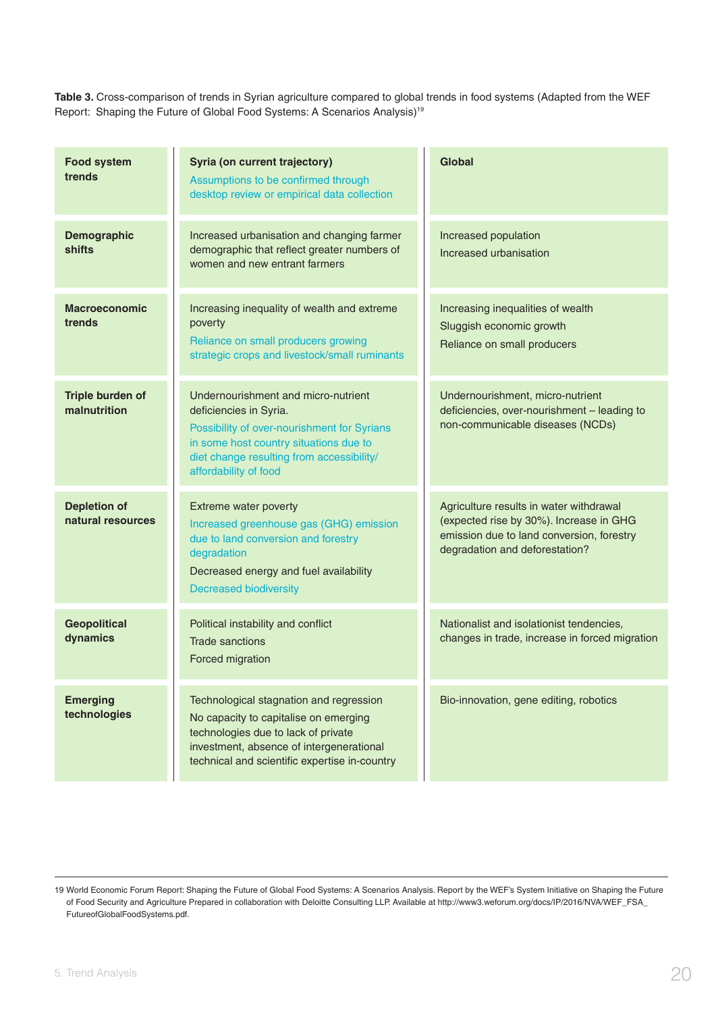**Table 3.** Cross-comparison of trends in Syrian agriculture compared to global trends in food systems (Adapted from the WEF Report: Shaping the Future of Global Food Systems: A Scenarios Analysis)<sup>19</sup>

| <b>Food system</b><br>trends             | Syria (on current trajectory)<br>Assumptions to be confirmed through<br>desktop review or empirical data collection                                                                                                          | Global                                                                                                                                                            |
|------------------------------------------|------------------------------------------------------------------------------------------------------------------------------------------------------------------------------------------------------------------------------|-------------------------------------------------------------------------------------------------------------------------------------------------------------------|
| <b>Demographic</b><br>shifts             | Increased urbanisation and changing farmer<br>demographic that reflect greater numbers of<br>women and new entrant farmers                                                                                                   | Increased population<br>Increased urbanisation                                                                                                                    |
| <b>Macroeconomic</b><br>trends           | Increasing inequality of wealth and extreme<br>poverty<br>Reliance on small producers growing<br>strategic crops and livestock/small ruminants                                                                               | Increasing inequalities of wealth<br>Sluggish economic growth<br>Reliance on small producers                                                                      |
| Triple burden of<br>malnutrition         | Undernourishment and micro-nutrient<br>deficiencies in Syria.<br>Possibility of over-nourishment for Syrians<br>in some host country situations due to<br>diet change resulting from accessibility/<br>affordability of food | Undernourishment, micro-nutrient<br>deficiencies, over-nourishment - leading to<br>non-communicable diseases (NCDs)                                               |
| <b>Depletion of</b><br>natural resources | Extreme water poverty<br>Increased greenhouse gas (GHG) emission<br>due to land conversion and forestry<br>degradation<br>Decreased energy and fuel availability<br><b>Decreased biodiversity</b>                            | Agriculture results in water withdrawal<br>(expected rise by 30%). Increase in GHG<br>emission due to land conversion, forestry<br>degradation and deforestation? |
| <b>Geopolitical</b><br>dynamics          | Political instability and conflict<br><b>Trade sanctions</b><br>Forced migration                                                                                                                                             | Nationalist and isolationist tendencies,<br>changes in trade, increase in forced migration                                                                        |
| <b>Emerging</b><br>technologies          | Technological stagnation and regression<br>No capacity to capitalise on emerging<br>technologies due to lack of private<br>investment, absence of intergenerational<br>technical and scientific expertise in-country         | Bio-innovation, gene editing, robotics                                                                                                                            |

<sup>19</sup> World Economic Forum Report: Shaping the Future of Global Food Systems: A Scenarios Analysis. Report by the WEF's System Initiative on Shaping the Future of Food Security and Agriculture Prepared in collaboration with Deloitte Consulting LLP. Available at http://www3.weforum.org/docs/IP/2016/NVA/WEF\_FSA\_ FutureofGlobalFoodSystems.pdf.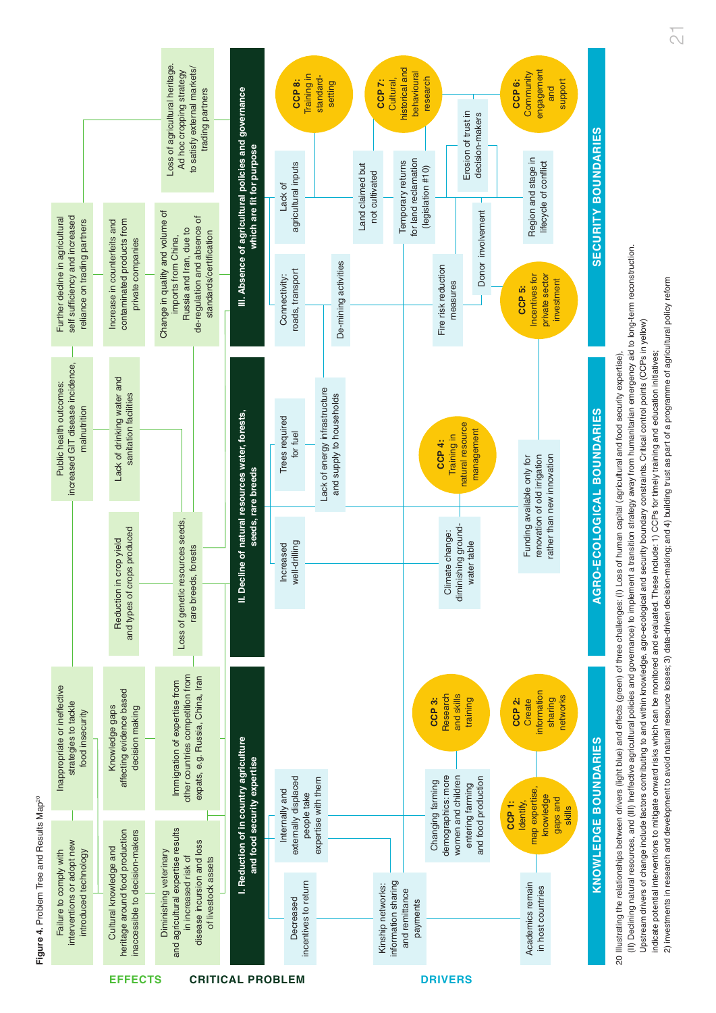Figure 4. Problem Tree and Results Map<sup>20</sup> **Figure 4. Problem Tree and Results Map<sup>20</sup>** 



2) investments in research and development to avoid natural resource losses; 3) data-driven decision-making; and 4) building trust as part of a programme of agricultural policy reform 2) investments in research and development to avoid natural resource losses; 3) data-driven decision-making; and 4) building trust as part of a programme of agricultural policy reform Upstream drivers of change include factors contributing to and within knowledge, agro-ecological and security boundary constraints. Critical control points (CCPs in yellow) Upstream drivers of change include factors contributing to and within knowledge, agro-ecological and security boundary constraints. Critical control points (CCPs in yellow) indicate potential interventions to mitigate onward risks which can be monitored and evaluated. These include: 1) CCPs for timely training and education initiatives; indicate potential interventions to mitigate onward risks which can be monitored and evaluated. These include: 1) CCPs for timely training and education initiatives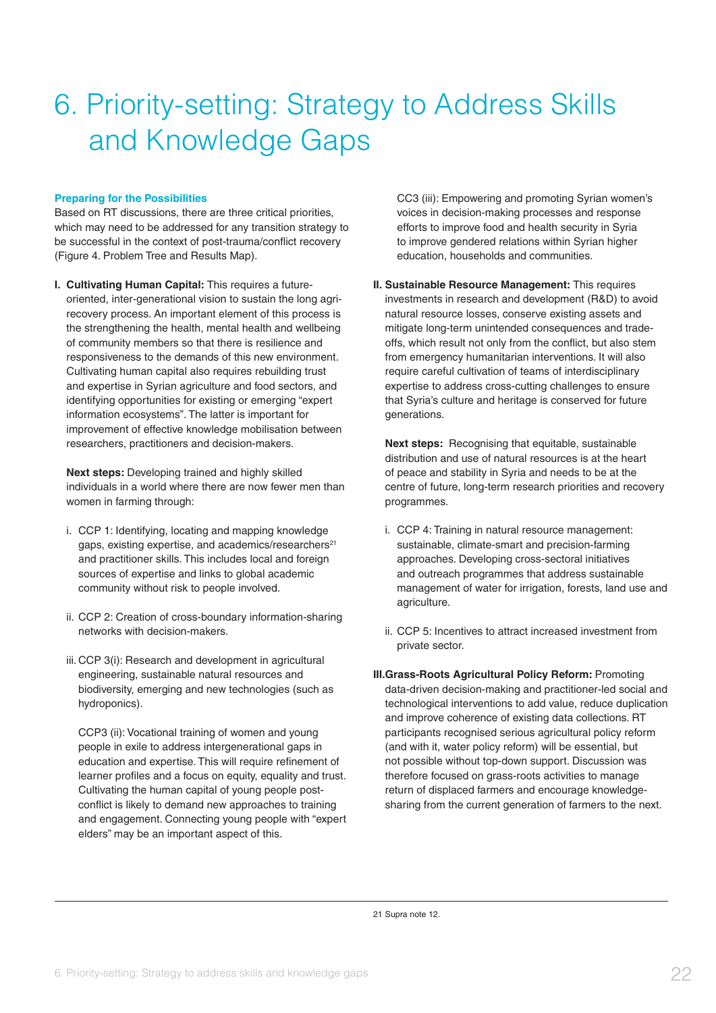## 6. Priority-setting: Strategy to Address Skills and Knowledge Gaps

#### **Preparing for the Possibilities**

Based on RT discussions, there are three critical priorities, which may need to be addressed for any transition strategy to be successful in the context of post-trauma/conflict recovery (Figure 4. Problem Tree and Results Map).

**I. Cultivating Human Capital:** This requires a futureoriented, inter-generational vision to sustain the long agrirecovery process. An important element of this process is the strengthening the health, mental health and wellbeing of community members so that there is resilience and responsiveness to the demands of this new environment. Cultivating human capital also requires rebuilding trust and expertise in Syrian agriculture and food sectors, and identifying opportunities for existing or emerging "expert information ecosystems". The latter is important for improvement of effective knowledge mobilisation between researchers, practitioners and decision-makers.

**Next steps:** Developing trained and highly skilled individuals in a world where there are now fewer men than women in farming through:

- i. CCP 1: Identifying, locating and mapping knowledge gaps, existing expertise, and academics/researchers<sup>21</sup> and practitioner skills. This includes local and foreign sources of expertise and links to global academic community without risk to people involved.
- ii. CCP 2: Creation of cross-boundary information-sharing networks with decision-makers.
- iii. CCP 3(i): Research and development in agricultural engineering, sustainable natural resources and biodiversity, emerging and new technologies (such as hydroponics).

CCP3 (ii): Vocational training of women and young people in exile to address intergenerational gaps in education and expertise. This will require refinement of learner profiles and a focus on equity, equality and trust. Cultivating the human capital of young people postconflict is likely to demand new approaches to training and engagement. Connecting young people with "expert elders" may be an important aspect of this.

CC3 (iii): Empowering and promoting Syrian women's voices in decision-making processes and response efforts to improve food and health security in Syria to improve gendered relations within Syrian higher education, households and communities.

**II. Sustainable Resource Management:** This requires investments in research and development (R&D) to avoid natural resource losses, conserve existing assets and mitigate long-term unintended consequences and tradeoffs, which result not only from the conflict, but also stem from emergency humanitarian interventions. It will also require careful cultivation of teams of interdisciplinary expertise to address cross-cutting challenges to ensure that Syria's culture and heritage is conserved for future generations.

**Next steps:** Recognising that equitable, sustainable distribution and use of natural resources is at the heart of peace and stability in Syria and needs to be at the centre of future, long-term research priorities and recovery programmes.

- i. CCP 4: Training in natural resource management: sustainable, climate-smart and precision-farming approaches. Developing cross-sectoral initiatives and outreach programmes that address sustainable management of water for irrigation, forests, land use and agriculture.
- ii. CCP 5: Incentives to attract increased investment from private sector.
- **III.Grass-Roots Agricultural Policy Reform: Promoting** data-driven decision-making and practitioner-led social and technological interventions to add value, reduce duplication and improve coherence of existing data collections. RT participants recognised serious agricultural policy reform (and with it, water policy reform) will be essential, but not possible without top-down support. Discussion was therefore focused on grass-roots activities to manage return of displaced farmers and encourage knowledgesharing from the current generation of farmers to the next.

21 Supra note 12.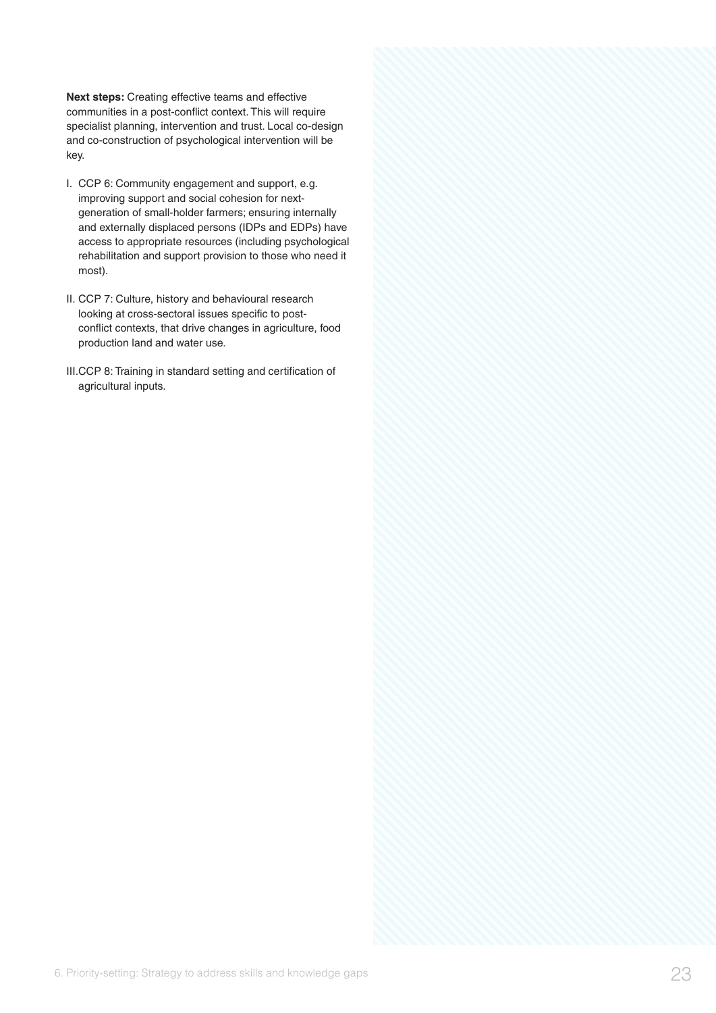**Next steps:** Creating effective teams and effective communities in a post-conflict context. This will require specialist planning, intervention and trust. Local co-design and co-construction of psychological intervention will be key.

- I. CCP 6: Community engagement and support, e.g. improving support and social cohesion for nextgeneration of small-holder farmers; ensuring internally and externally displaced persons (IDPs and EDPs) have access to appropriate resources (including psychological rehabilitation and support provision to those who need it most).
- II. CCP 7: Culture, history and behavioural research looking at cross-sectoral issues specific to postconflict contexts, that drive changes in agriculture, food production land and water use.
- III.CCP 8: Training in standard setting and certification of agricultural inputs.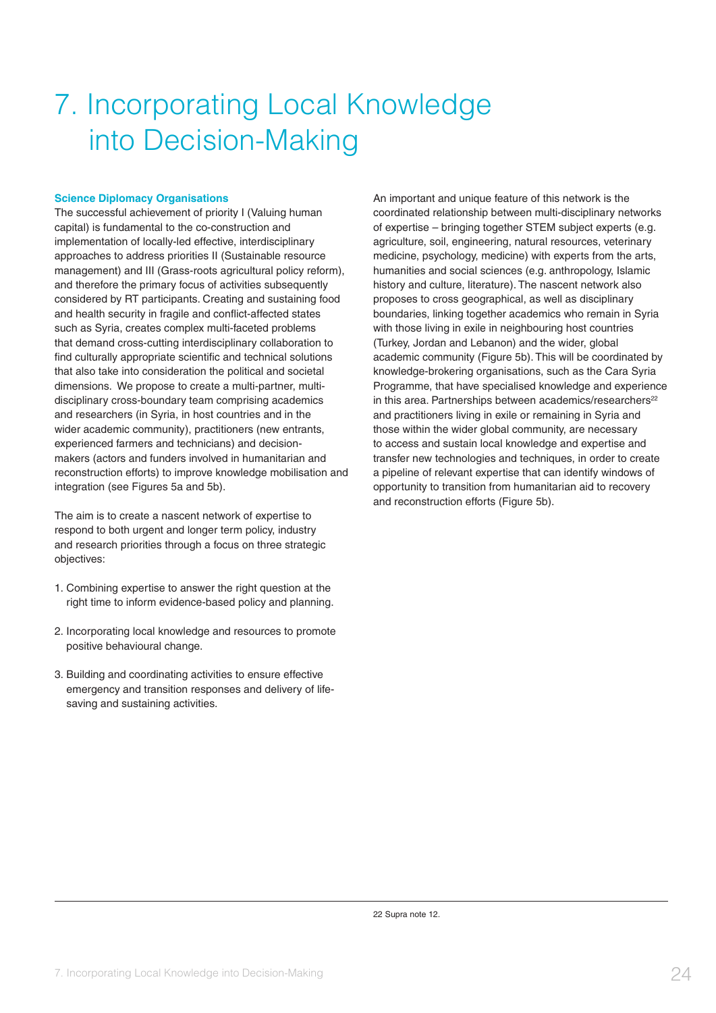## 7. Incorporating Local Knowledge into Decision-Making

#### **Science Diplomacy Organisations**

The successful achievement of priority I (Valuing human capital) is fundamental to the co-construction and implementation of locally-led effective, interdisciplinary approaches to address priorities II (Sustainable resource management) and III (Grass-roots agricultural policy reform), and therefore the primary focus of activities subsequently considered by RT participants. Creating and sustaining food and health security in fragile and conflict-affected states such as Syria, creates complex multi-faceted problems that demand cross-cutting interdisciplinary collaboration to find culturally appropriate scientific and technical solutions that also take into consideration the political and societal dimensions. We propose to create a multi-partner, multidisciplinary cross-boundary team comprising academics and researchers (in Syria, in host countries and in the wider academic community), practitioners (new entrants, experienced farmers and technicians) and decisionmakers (actors and funders involved in humanitarian and reconstruction efforts) to improve knowledge mobilisation and integration (see Figures 5a and 5b).

The aim is to create a nascent network of expertise to respond to both urgent and longer term policy, industry and research priorities through a focus on three strategic objectives:

- 1. Combining expertise to answer the right question at the right time to inform evidence-based policy and planning.
- 2. Incorporating local knowledge and resources to promote positive behavioural change.
- 3. Building and coordinating activities to ensure effective emergency and transition responses and delivery of lifesaving and sustaining activities.

An important and unique feature of this network is the coordinated relationship between multi-disciplinary networks of expertise – bringing together STEM subject experts (e.g. agriculture, soil, engineering, natural resources, veterinary medicine, psychology, medicine) with experts from the arts, humanities and social sciences (e.g. anthropology, Islamic history and culture, literature). The nascent network also proposes to cross geographical, as well as disciplinary boundaries, linking together academics who remain in Syria with those living in exile in neighbouring host countries (Turkey, Jordan and Lebanon) and the wider, global academic community (Figure 5b). This will be coordinated by knowledge-brokering organisations, such as the Cara Syria Programme, that have specialised knowledge and experience in this area. Partnerships between academics/researchers<sup>22</sup> and practitioners living in exile or remaining in Syria and those within the wider global community, are necessary to access and sustain local knowledge and expertise and transfer new technologies and techniques, in order to create a pipeline of relevant expertise that can identify windows of opportunity to transition from humanitarian aid to recovery and reconstruction efforts (Figure 5b).

22 Supra note 12.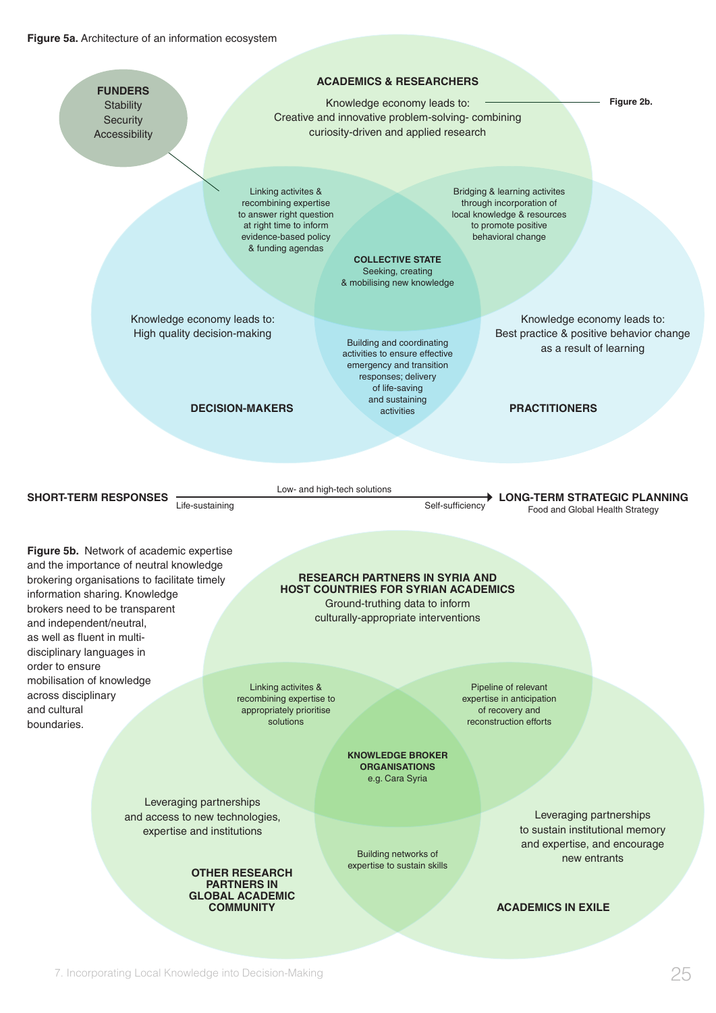#### **Figure 5a.** Architecture of an information ecosystem

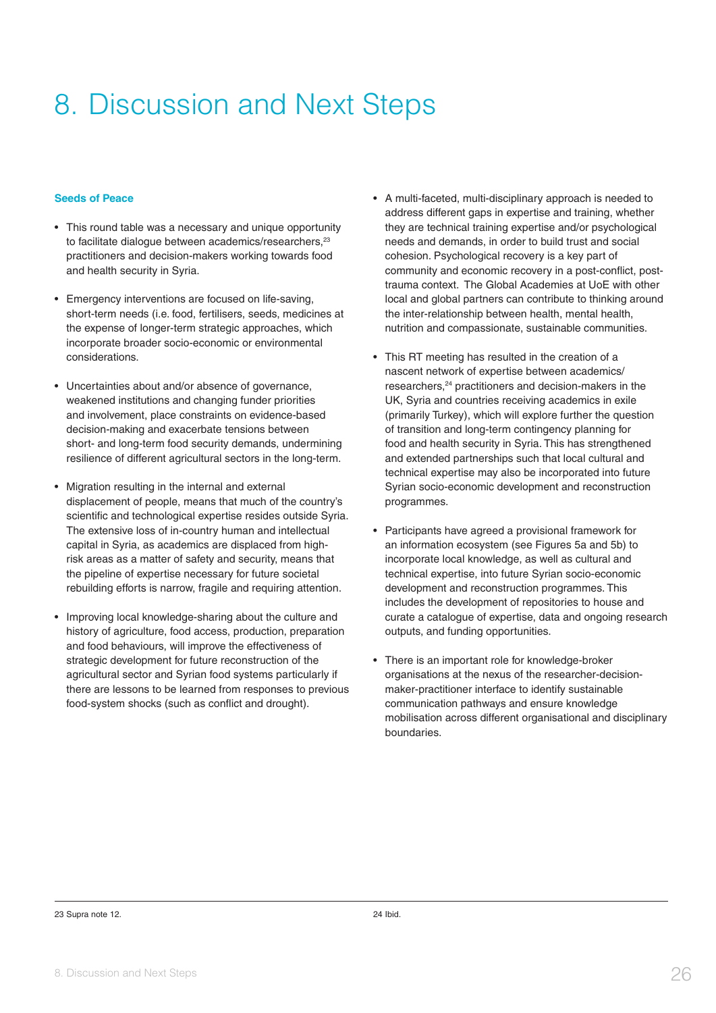## 8. Discussion and Next Steps

#### **Seeds of Peace**

- This round table was a necessary and unique opportunity to facilitate dialogue between academics/researchers,<sup>23</sup> practitioners and decision-makers working towards food and health security in Syria.
- Emergency interventions are focused on life-saving, short-term needs (i.e. food, fertilisers, seeds, medicines at the expense of longer-term strategic approaches, which incorporate broader socio-economic or environmental considerations.
- Uncertainties about and/or absence of governance, weakened institutions and changing funder priorities and involvement, place constraints on evidence-based decision-making and exacerbate tensions between short- and long-term food security demands, undermining resilience of different agricultural sectors in the long-term.
- Migration resulting in the internal and external displacement of people, means that much of the country's scientific and technological expertise resides outside Syria. The extensive loss of in-country human and intellectual capital in Syria, as academics are displaced from highrisk areas as a matter of safety and security, means that the pipeline of expertise necessary for future societal rebuilding efforts is narrow, fragile and requiring attention.
- Improving local knowledge-sharing about the culture and history of agriculture, food access, production, preparation and food behaviours, will improve the effectiveness of strategic development for future reconstruction of the agricultural sector and Syrian food systems particularly if there are lessons to be learned from responses to previous food-system shocks (such as conflict and drought).
- A multi-faceted, multi-disciplinary approach is needed to address different gaps in expertise and training, whether they are technical training expertise and/or psychological needs and demands, in order to build trust and social cohesion. Psychological recovery is a key part of community and economic recovery in a post-conflict, posttrauma context. The Global Academies at UoE with other local and global partners can contribute to thinking around the inter-relationship between health, mental health, nutrition and compassionate, sustainable communities.
- This RT meeting has resulted in the creation of a nascent network of expertise between academics/ researchers,24 practitioners and decision-makers in the UK, Syria and countries receiving academics in exile (primarily Turkey), which will explore further the question of transition and long-term contingency planning for food and health security in Syria. This has strengthened and extended partnerships such that local cultural and technical expertise may also be incorporated into future Syrian socio-economic development and reconstruction programmes.
- Participants have agreed a provisional framework for an information ecosystem (see Figures 5a and 5b) to incorporate local knowledge, as well as cultural and technical expertise, into future Syrian socio-economic development and reconstruction programmes. This includes the development of repositories to house and curate a catalogue of expertise, data and ongoing research outputs, and funding opportunities.
- There is an important role for knowledge-broker organisations at the nexus of the researcher-decisionmaker-practitioner interface to identify sustainable communication pathways and ensure knowledge mobilisation across different organisational and disciplinary boundaries.

#### 23 Supra note 12.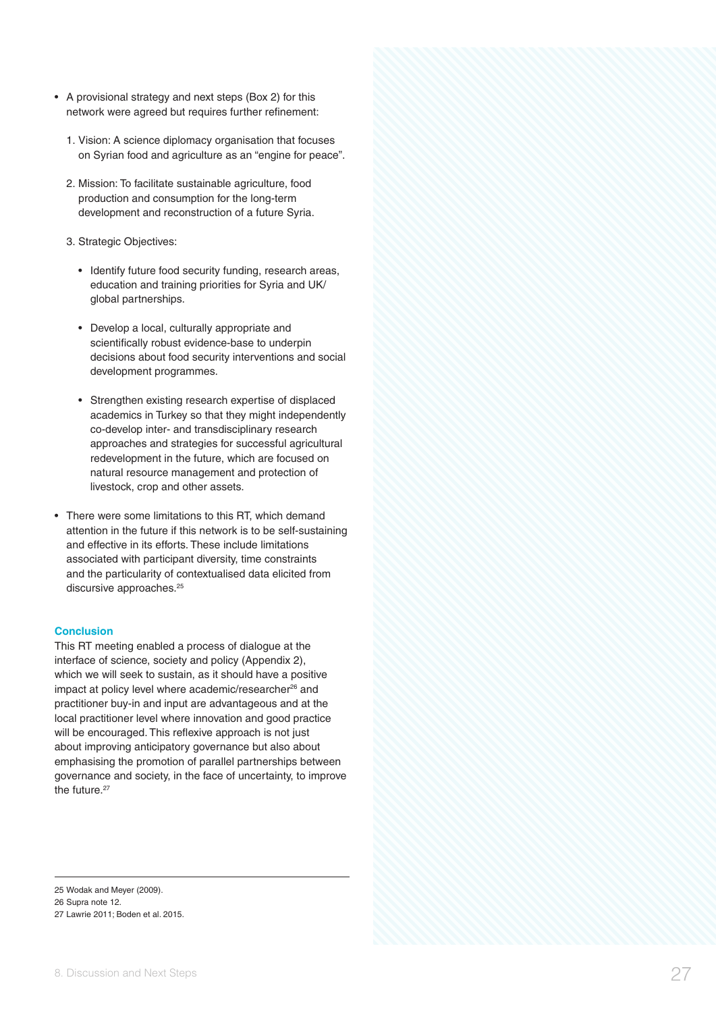- network were agreed but requires further refinement:
	- 1. Vision: A science diplomacy organisation that focuses on Syrian food and agriculture as an "engine for peace".
	- 2. Mission: To facilitate sustainable agriculture, food production and consumption for the long-term development and reconstruction of a future Syria.
	- 3. Strategic Objectives:
		- Identify future food security funding, research areas, education and training priorities for Syria and UK/ global partnerships.
		- Develop a local, culturally appropriate and scientifically robust evidence-base to underpin decisions about food security interventions and social development programmes.
		- Strengthen existing research expertise of displaced academics in Turkey so that they might independently co-develop inter- and transdisciplinary research approaches and strategies for successful agricultural redevelopment in the future, which are focused on natural resource management and protection of livestock, crop and other assets.
- There were some limitations to this RT, which demand attention in the future if this network is to be self-sustaining and effective in its efforts. These include limitations associated with participant diversity, time constraints and the particularity of contextualised data elicited from discursive approaches.<sup>25</sup>

#### **Conclusion**

A provision and the energy and test conservative vectors and the first determination and the energy operative vectors are the energy operative vectors and the energy operative vectors are the energy and the energy operati This RT meeting enabled a process of dialogue at the interface of science, society and policy (Appendix 2), which we will seek to sustain, as it should have a positive impact at policy level where academic/researcher<sup>26</sup> and practitioner buy-in and input are advantageous and at the local practitioner level where innovation and good practice will be encouraged. This reflexive approach is not just about improving anticipatory governance but also about emphasising the promotion of parallel partnerships between governance and society, in the face of uncertainty, to improve the future.<sup>27</sup>

<sup>25</sup> Wodak and Meyer (2009).

<sup>26</sup> Supra note 12.

<sup>27</sup> Lawrie 2011; Boden et al. 2015.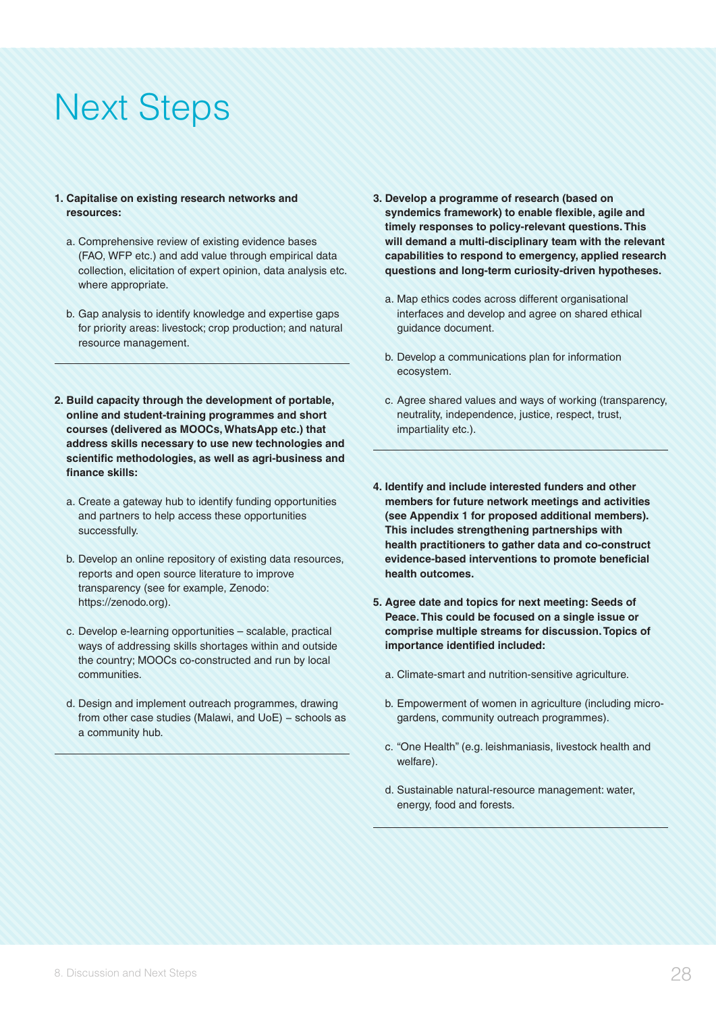## Next Steps

#### **1. Capitalise on existing research networks and resources:**

- a. Comprehensive review of existing evidence bases (FAO, WFP etc.) and add value through empirical data collection, elicitation of expert opinion, data analysis etc. where appropriate.
- b. Gap analysis to identify knowledge and expertise gaps for priority areas: livestock; crop production; and natural resource management.
- **2. Build capacity through the development of portable, online and student-training programmes and short courses (delivered as MOOCs, WhatsApp etc.) that address skills necessary to use new technologies and scientific methodologies, as well as agri-business and finance skills:**
	- a. Create a gateway hub to identify funding opportunities and partners to help access these opportunities successfully.
	- b. Develop an online repository of existing data resources, reports and open source literature to improve transparency (see for example, Zenodo: https://zenodo.org).
	- c. Develop e-learning opportunities scalable, practical ways of addressing skills shortages within and outside the country; MOOCs co-constructed and run by local communities.
	- d. Design and implement outreach programmes, drawing from other case studies (Malawi, and UoE) – schools as a community hub.
- **3. Develop a programme of research (based on syndemics framework) to enable flexible, agile and timely responses to policy-relevant questions. This will demand a multi-disciplinary team with the relevant capabilities to respond to emergency, applied research questions and long-term curiosity-driven hypotheses.**
	- a. Map ethics codes across different organisational interfaces and develop and agree on shared ethical guidance document.
	- b. Develop a communications plan for information ecosystem.
	- c. Agree shared values and ways of working (transparency, neutrality, independence, justice, respect, trust, impartiality etc.).
- **4. Identify and include interested funders and other members for future network meetings and activities (see Appendix 1 for proposed additional members). This includes strengthening partnerships with health practitioners to gather data and co-construct evidence-based interventions to promote beneficial health outcomes.**
- **5. Agree date and topics for next meeting: Seeds of Peace. This could be focused on a single issue or comprise multiple streams for discussion. Topics of importance identified included:**
	- a. Climate-smart and nutrition-sensitive agriculture.
	- b. Empowerment of women in agriculture (including microgardens, community outreach programmes).
	- c. "One Health" (e.g. leishmaniasis, livestock health and welfare).
	- d. Sustainable natural-resource management: water, energy, food and forests.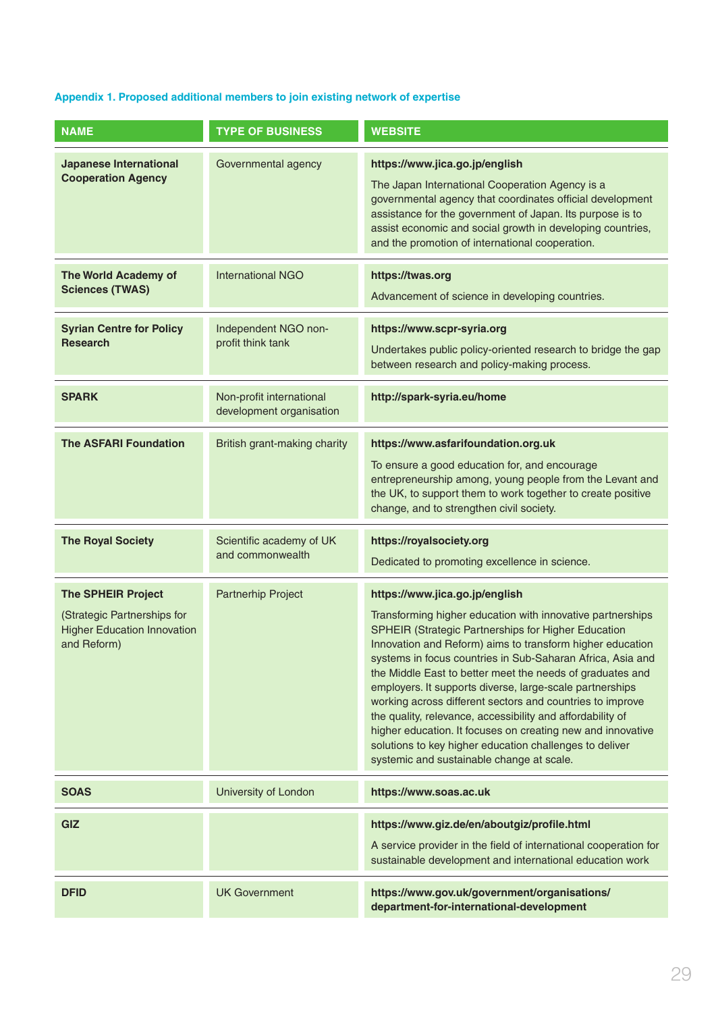### **Appendix 1. Proposed additional members to join existing network of expertise**

| <b>NAME</b>                                                                                                   | <b>TYPE OF BUSINESS</b>                              | <b>WEBSITE</b>                                                                                                                                                                                                                                                                                                                                                                                                                                                                                                                                                                                                                                                                                            |
|---------------------------------------------------------------------------------------------------------------|------------------------------------------------------|-----------------------------------------------------------------------------------------------------------------------------------------------------------------------------------------------------------------------------------------------------------------------------------------------------------------------------------------------------------------------------------------------------------------------------------------------------------------------------------------------------------------------------------------------------------------------------------------------------------------------------------------------------------------------------------------------------------|
| <b>Japanese International</b><br><b>Cooperation Agency</b>                                                    | Governmental agency                                  | https://www.jica.go.jp/english<br>The Japan International Cooperation Agency is a<br>governmental agency that coordinates official development<br>assistance for the government of Japan. Its purpose is to<br>assist economic and social growth in developing countries,<br>and the promotion of international cooperation.                                                                                                                                                                                                                                                                                                                                                                              |
| <b>The World Academy of</b><br><b>Sciences (TWAS)</b>                                                         | <b>International NGO</b>                             | https://twas.org<br>Advancement of science in developing countries.                                                                                                                                                                                                                                                                                                                                                                                                                                                                                                                                                                                                                                       |
| <b>Syrian Centre for Policy</b><br><b>Research</b>                                                            | Independent NGO non-<br>profit think tank            | https://www.scpr-syria.org<br>Undertakes public policy-oriented research to bridge the gap<br>between research and policy-making process.                                                                                                                                                                                                                                                                                                                                                                                                                                                                                                                                                                 |
| <b>SPARK</b>                                                                                                  | Non-profit international<br>development organisation | http://spark-syria.eu/home                                                                                                                                                                                                                                                                                                                                                                                                                                                                                                                                                                                                                                                                                |
| <b>The ASFARI Foundation</b>                                                                                  | British grant-making charity                         | https://www.asfarifoundation.org.uk<br>To ensure a good education for, and encourage<br>entrepreneurship among, young people from the Levant and<br>the UK, to support them to work together to create positive<br>change, and to strengthen civil society.                                                                                                                                                                                                                                                                                                                                                                                                                                               |
| <b>The Royal Society</b>                                                                                      | Scientific academy of UK<br>and commonwealth         | https://royalsociety.org<br>Dedicated to promoting excellence in science.                                                                                                                                                                                                                                                                                                                                                                                                                                                                                                                                                                                                                                 |
| <b>The SPHEIR Project</b><br>(Strategic Partnerships for<br><b>Higher Education Innovation</b><br>and Reform) | <b>Partnerhip Project</b>                            | https://www.jica.go.jp/english<br>Transforming higher education with innovative partnerships<br>SPHEIR (Strategic Partnerships for Higher Education<br>Innovation and Reform) aims to transform higher education<br>systems in focus countries in Sub-Saharan Africa, Asia and<br>the Middle East to better meet the needs of graduates and<br>employers. It supports diverse, large-scale partnerships<br>working across different sectors and countries to improve<br>the quality, relevance, accessibility and affordability of<br>higher education. It focuses on creating new and innovative<br>solutions to key higher education challenges to deliver<br>systemic and sustainable change at scale. |
| <b>SOAS</b>                                                                                                   | University of London                                 | https://www.soas.ac.uk                                                                                                                                                                                                                                                                                                                                                                                                                                                                                                                                                                                                                                                                                    |
| GIZ                                                                                                           |                                                      | https://www.giz.de/en/aboutgiz/profile.html<br>A service provider in the field of international cooperation for<br>sustainable development and international education work                                                                                                                                                                                                                                                                                                                                                                                                                                                                                                                               |
| <b>DFID</b>                                                                                                   | <b>UK Government</b>                                 | https://www.gov.uk/government/organisations/<br>department-for-international-development                                                                                                                                                                                                                                                                                                                                                                                                                                                                                                                                                                                                                  |